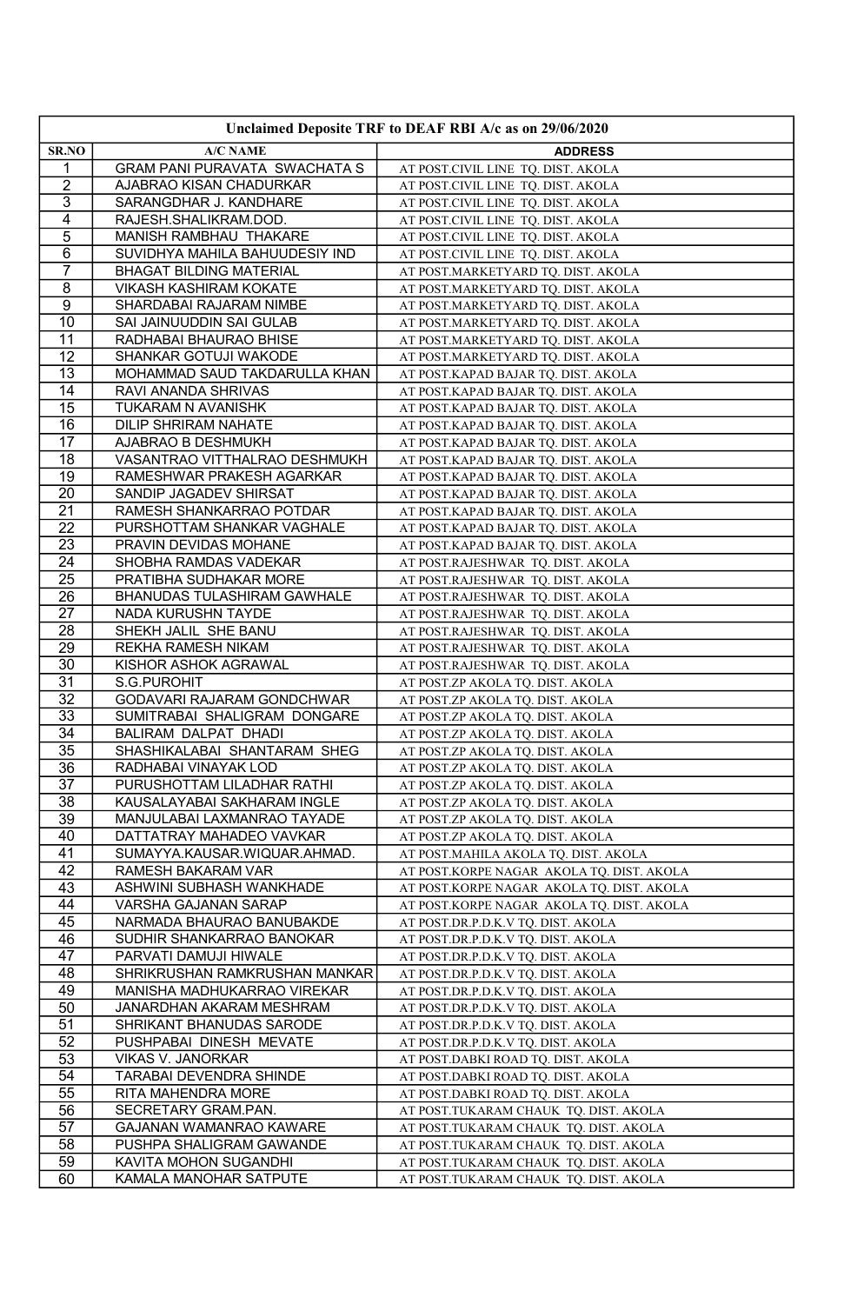| Unclaimed Deposite TRF to DEAF RBI A/c as on 29/06/2020 |                                                        |                                                                            |
|---------------------------------------------------------|--------------------------------------------------------|----------------------------------------------------------------------------|
| SR.NO                                                   | A/C NAME                                               | <b>ADDRESS</b>                                                             |
| 1                                                       | GRAM PANI PURAVATA SWACHATA S                          | AT POST.CIVIL LINE TQ. DIST. AKOLA                                         |
| $\overline{2}$                                          | AJABRAO KISAN CHADURKAR                                | AT POST.CIVIL LINE TQ. DIST. AKOLA                                         |
| $\overline{3}$                                          | SARANGDHAR J. KANDHARE                                 | AT POST.CIVIL LINE TQ. DIST. AKOLA                                         |
| 4                                                       | RAJESH.SHALIKRAM.DOD.                                  | AT POST.CIVIL LINE TQ. DIST. AKOLA                                         |
| 5                                                       | MANISH RAMBHAU THAKARE                                 | AT POST.CIVIL LINE TQ. DIST. AKOLA                                         |
| $\overline{6}$                                          | SUVIDHYA MAHILA BAHUUDESIY IND                         | AT POST.CIVIL LINE TQ. DIST. AKOLA                                         |
| $\overline{7}$                                          | <b>BHAGAT BILDING MATERIAL</b>                         | AT POST.MARKETYARD TQ. DIST. AKOLA                                         |
| $\overline{8}$                                          | VIKASH KASHIRAM KOKATE                                 | AT POST.MARKETYARD TQ. DIST. AKOLA                                         |
| 9                                                       | SHARDABAI RAJARAM NIMBE                                | AT POST.MARKETYARD TQ. DIST. AKOLA                                         |
| $\overline{10}$                                         | SAI JAINUUDDIN SAI GULAB                               | AT POST.MARKETYARD TQ. DIST. AKOLA                                         |
| 11                                                      | RADHABAI BHAURAO BHISE                                 | AT POST.MARKETYARD TQ. DIST. AKOLA                                         |
| 12                                                      | SHANKAR GOTUJI WAKODE                                  | AT POST.MARKETYARD TQ. DIST. AKOLA                                         |
| $\overline{13}$                                         | MOHAMMAD SAUD TAKDARULLA KHAN                          | AT POST.KAPAD BAJAR TQ. DIST. AKOLA                                        |
| 14                                                      | RAVI ANANDA SHRIVAS                                    | AT POST.KAPAD BAJAR TQ. DIST. AKOLA                                        |
| 15<br>16                                                | TUKARAM N AVANISHK<br><b>DILIP SHRIRAM NAHATE</b>      | AT POST.KAPAD BAJAR TQ. DIST. AKOLA                                        |
| 17                                                      | AJABRAO B DESHMUKH                                     | AT POST.KAPAD BAJAR TQ. DIST. AKOLA<br>AT POST.KAPAD BAJAR TQ. DIST. AKOLA |
| 18                                                      | VASANTRAO VITTHALRAO DESHMUKH                          | AT POST.KAPAD BAJAR TQ. DIST. AKOLA                                        |
| $\overline{19}$                                         | RAMESHWAR PRAKESH AGARKAR                              | AT POST.KAPAD BAJAR TQ. DIST. AKOLA                                        |
| 20                                                      | SANDIP JAGADEV SHIRSAT                                 | AT POST.KAPAD BAJAR TQ. DIST. AKOLA                                        |
| 21                                                      | RAMESH SHANKARRAO POTDAR                               | AT POST.KAPAD BAJAR TQ. DIST. AKOLA                                        |
| 22                                                      | PURSHOTTAM SHANKAR VAGHALE                             | AT POST.KAPAD BAJAR TQ. DIST. AKOLA                                        |
| 23                                                      | PRAVIN DEVIDAS MOHANE                                  | AT POST.KAPAD BAJAR TQ. DIST. AKOLA                                        |
| $\overline{24}$                                         | SHOBHA RAMDAS VADEKAR                                  | AT POST.RAJESHWAR TQ. DIST. AKOLA                                          |
| 25                                                      | PRATIBHA SUDHAKAR MORE                                 | AT POST.RAJESHWAR TQ. DIST. AKOLA                                          |
| $\overline{26}$                                         | BHANUDAS TULASHIRAM GAWHALE                            | AT POST.RAJESHWAR TQ. DIST. AKOLA                                          |
| $\overline{27}$                                         | NADA KURUSHN TAYDE                                     | AT POST.RAJESHWAR TQ. DIST. AKOLA                                          |
| 28                                                      | SHEKH JALIL SHE BANU                                   | AT POST.RAJESHWAR TQ. DIST. AKOLA                                          |
| 29                                                      | REKHA RAMESH NIKAM                                     | AT POST.RAJESHWAR TQ. DIST. AKOLA                                          |
| 30                                                      | KISHOR ASHOK AGRAWAL                                   | AT POST.RAJESHWAR TQ. DIST. AKOLA                                          |
| $\overline{31}$                                         | S.G.PUROHIT                                            | AT POST.ZP AKOLA TQ. DIST. AKOLA                                           |
| 32                                                      | GODAVARI RAJARAM GONDCHWAR                             | AT POST.ZP AKOLA TQ. DIST. AKOLA                                           |
| $\overline{33}$                                         | SUMITRABAI SHALIGRAM DONGARE                           | AT POST.ZP AKOLA TQ. DIST. AKOLA                                           |
| $\overline{34}$                                         | BALIRAM DALPAT DHADI                                   | AT POST.ZP AKOLA TQ. DIST. AKOLA                                           |
| 35                                                      | SHASHIKALABAI SHANTARAM SHEG                           | AT POST.ZP AKOLA TQ. DIST. AKOLA                                           |
| 36                                                      | RADHABAI VINAYAK LOD                                   | AT POST.ZP AKOLA TQ. DIST. AKOLA                                           |
| $\overline{37}$                                         | PURUSHOTTAM LILADHAR RATHI                             | AT POST.ZP AKOLA TQ. DIST. AKOLA                                           |
| 38                                                      | KAUSALAYABAI SAKHARAM INGLE                            | AT POST.ZP AKOLA TQ. DIST. AKOLA                                           |
| 39                                                      | MANJULABAI LAXMANRAO TAYADE                            | AT POST.ZP AKOLA TQ. DIST. AKOLA                                           |
| 40                                                      | DATTATRAY MAHADEO VAVKAR                               | AT POST.ZP AKOLA TQ. DIST. AKOLA                                           |
| $\overline{41}$                                         | SUMAYYA.KAUSAR.WIQUAR.AHMAD.                           | AT POST.MAHILA AKOLA TQ. DIST. AKOLA                                       |
| 42                                                      | RAMESH BAKARAM VAR                                     | AT POST.KORPE NAGAR AKOLA TQ. DIST. AKOLA                                  |
| 43                                                      | ASHWINI SUBHASH WANKHADE                               | AT POST.KORPE NAGAR AKOLA TQ. DIST. AKOLA                                  |
| 44                                                      | VARSHA GAJANAN SARAP                                   | AT POST.KORPE NAGAR AKOLA TQ. DIST. AKOLA                                  |
| 45                                                      | NARMADA BHAURAO BANUBAKDE                              | AT POST.DR.P.D.K.V TQ. DIST. AKOLA                                         |
| 46                                                      | SUDHIR SHANKARRAO BANOKAR                              | AT POST.DR.P.D.K.V TQ. DIST. AKOLA                                         |
| 47<br>48                                                | PARVATI DAMUJI HIWALE<br>SHRIKRUSHAN RAMKRUSHAN MANKAR | AT POST.DR.P.D.K.V TQ. DIST. AKOLA                                         |
|                                                         |                                                        | AT POST.DR.P.D.K.V TQ. DIST. AKOLA                                         |
| 49<br>50                                                | MANISHA MADHUKARRAO VIREKAR                            | AT POST.DR.P.D.K.V TQ. DIST. AKOLA                                         |
| 51                                                      | JANARDHAN AKARAM MESHRAM<br>SHRIKANT BHANUDAS SARODE   | AT POST.DR.P.D.K.V TQ. DIST. AKOLA                                         |
| 52                                                      | PUSHPABAI DINESH MEVATE                                | AT POST.DR.P.D.K.V TQ. DIST. AKOLA<br>AT POST.DR.P.D.K.V TQ. DIST. AKOLA   |
| 53                                                      | VIKAS V. JANORKAR                                      | AT POST.DABKI ROAD TQ. DIST. AKOLA                                         |
| 54                                                      | TARABAI DEVENDRA SHINDE                                | AT POST.DABKI ROAD TQ. DIST. AKOLA                                         |
| 55                                                      | RITA MAHENDRA MORE                                     | AT POST.DABKI ROAD TQ. DIST. AKOLA                                         |
| 56                                                      | SECRETARY GRAM.PAN.                                    | AT POST.TUKARAM CHAUK TQ. DIST. AKOLA                                      |
| 57                                                      | GAJANAN WAMANRAO KAWARE                                | AT POST.TUKARAM CHAUK TQ. DIST. AKOLA                                      |
| 58                                                      | PUSHPA SHALIGRAM GAWANDE                               | AT POST.TUKARAM CHAUK TQ. DIST. AKOLA                                      |
| 59                                                      | KAVITA MOHON SUGANDHI                                  | AT POST.TUKARAM CHAUK TQ. DIST. AKOLA                                      |
| 60                                                      | KAMALA MANOHAR SATPUTE                                 | AT POST.TUKARAM CHAUK TQ. DIST. AKOLA                                      |
|                                                         |                                                        |                                                                            |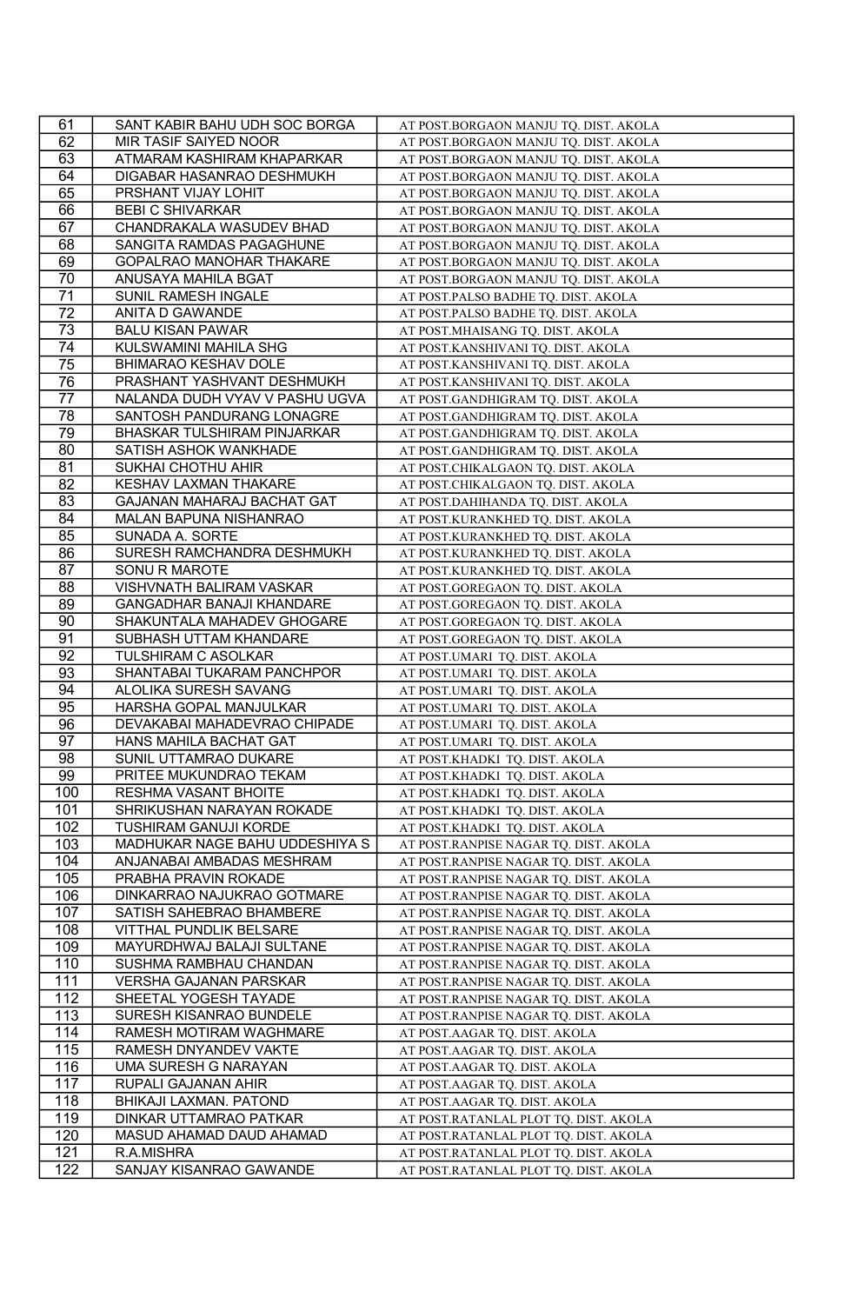| 61               | SANT KABIR BAHU UDH SOC BORGA    | AT POST.BORGAON MANJU TQ. DIST. AKOLA                                |
|------------------|----------------------------------|----------------------------------------------------------------------|
| 62               | MIR TASIF SAIYED NOOR            | AT POST.BORGAON MANJU TQ. DIST. AKOLA                                |
| 63               | ATMARAM KASHIRAM KHAPARKAR       | AT POST.BORGAON MANJU TQ. DIST. AKOLA                                |
| 64               | DIGABAR HASANRAO DESHMUKH        | AT POST.BORGAON MANJU TQ. DIST. AKOLA                                |
| 65               | PRSHANT VIJAY LOHIT              | AT POST.BORGAON MANJU TQ. DIST. AKOLA                                |
| 66               | <b>BEBI C SHIVARKAR</b>          | AT POST.BORGAON MANJU TQ. DIST. AKOLA                                |
| 67               | CHANDRAKALA WASUDEV BHAD         | AT POST.BORGAON MANJU TQ. DIST. AKOLA                                |
| 68               | SANGITA RAMDAS PAGAGHUNE         | AT POST.BORGAON MANJU TQ. DIST. AKOLA                                |
| 69               | GOPALRAO MANOHAR THAKARE         | AT POST.BORGAON MANJU TQ. DIST. AKOLA                                |
| 70               | ANUSAYA MAHILA BGAT              | AT POST.BORGAON MANJU TQ. DIST. AKOLA                                |
| 71               | SUNIL RAMESH INGALE              | AT POST.PALSO BADHE TQ. DIST. AKOLA                                  |
| $\overline{72}$  | ANITA D GAWANDE                  | AT POST.PALSO BADHE TQ. DIST. AKOLA                                  |
| 73               | <b>BALU KISAN PAWAR</b>          | AT POST.MHAISANG TQ. DIST. AKOLA                                     |
| 74               | KULSWAMINI MAHILA SHG            | AT POST.KANSHIVANI TQ. DIST. AKOLA                                   |
| 75               | <b>BHIMARAO KESHAV DOLE</b>      | AT POST.KANSHIVANI TQ. DIST. AKOLA                                   |
| 76               | PRASHANT YASHVANT DESHMUKH       | AT POST.KANSHIVANI TQ. DIST. AKOLA                                   |
| 77               | NALANDA DUDH VYAV V PASHU UGVA   | AT POST.GANDHIGRAM TQ. DIST. AKOLA                                   |
| 78               | SANTOSH PANDURANG LONAGRE        | AT POST.GANDHIGRAM TQ. DIST. AKOLA                                   |
| 79               | BHASKAR TULSHIRAM PINJARKAR      | AT POST.GANDHIGRAM TQ. DIST. AKOLA                                   |
| 80               | SATISH ASHOK WANKHADE            | AT POST.GANDHIGRAM TQ. DIST. AKOLA                                   |
| 81               | SUKHAI CHOTHU AHIR               | AT POST.CHIKALGAON TQ. DIST. AKOLA                                   |
| 82               | KESHAV LAXMAN THAKARE            | AT POST.CHIKALGAON TQ. DIST. AKOLA                                   |
| 83               | GAJANAN MAHARAJ BACHAT GAT       | AT POST.DAHIHANDA TQ. DIST. AKOLA                                    |
| 84               | MALAN BAPUNA NISHANRAO           | AT POST.KURANKHED TQ. DIST. AKOLA                                    |
| 85               | SUNADA A. SORTE                  | AT POST.KURANKHED TQ. DIST. AKOLA                                    |
| 86               | SURESH RAMCHANDRA DESHMUKH       | AT POST.KURANKHED TQ. DIST. AKOLA                                    |
| $\overline{87}$  | SONU R MAROTE                    | AT POST.KURANKHED TQ. DIST. AKOLA                                    |
| 88               | VISHVNATH BALIRAM VASKAR         | AT POST.GOREGAON TQ. DIST. AKOLA                                     |
| 89               | <b>GANGADHAR BANAJI KHANDARE</b> |                                                                      |
| 90               | SHAKUNTALA MAHADEV GHOGARE       | AT POST.GOREGAON TQ. DIST. AKOLA<br>AT POST.GOREGAON TQ. DIST. AKOLA |
| 91               | SUBHASH UTTAM KHANDARE           | AT POST.GOREGAON TQ. DIST. AKOLA                                     |
| 92               | TULSHIRAM C ASOLKAR              | AT POST.UMARI TQ. DIST. AKOLA                                        |
| 93               | SHANTABAI TUKARAM PANCHPOR       | AT POST.UMARI TQ. DIST. AKOLA                                        |
| 94               | ALOLIKA SURESH SAVANG            | AT POST.UMARI TQ. DIST. AKOLA                                        |
| 95               | HARSHA GOPAL MANJULKAR           | AT POST.UMARI TQ. DIST. AKOLA                                        |
| 96               | DEVAKABAI MAHADEVRAO CHIPADE     |                                                                      |
| 97               | HANS MAHILA BACHAT GAT           | AT POST.UMARI TQ. DIST. AKOLA                                        |
| 98               | SUNIL UTTAMRAO DUKARE            | AT POST.UMARI TQ. DIST. AKOLA<br>AT POST.KHADKI_TQ. DIST. AKOLA      |
| $\overline{99}$  | PRITEE MUKUNDRAO TEKAM           |                                                                      |
| 100              | RESHMA VASANT BHOITE             | AT POST.KHADKI TQ. DIST. AKOLA                                       |
| 101              | SHRIKUSHAN NARAYAN ROKADE        | AT POST.KHADKI TQ. DIST. AKOLA                                       |
|                  |                                  | AT POST.KHADKI TQ. DIST. AKOLA                                       |
| 102              | TUSHIRAM GANUJI KORDE            | AT POST.KHADKI TQ. DIST. AKOLA                                       |
| 103              | MADHUKAR NAGE BAHU UDDESHIYA S   | AT POST.RANPISE NAGAR TQ. DIST. AKOLA                                |
| 104              | ANJANABAI AMBADAS MESHRAM        | AT POST.RANPISE NAGAR TQ. DIST. AKOLA                                |
| 105              | PRABHA PRAVIN ROKADE             | AT POST.RANPISE NAGAR TQ. DIST. AKOLA                                |
| 106              | DINKARRAO NAJUKRAO GOTMARE       | AT POST.RANPISE NAGAR TQ. DIST. AKOLA                                |
| 107              | SATISH SAHEBRAO BHAMBERE         | AT POST.RANPISE NAGAR TQ. DIST. AKOLA                                |
| 108              | VITTHAL PUNDLIK BELSARE          | AT POST.RANPISE NAGAR TQ. DIST. AKOLA                                |
| 109              | MAYURDHWAJ BALAJI SULTANE        | AT POST.RANPISE NAGAR TQ. DIST. AKOLA                                |
| 110              | SUSHMA RAMBHAU CHANDAN           | AT POST.RANPISE NAGAR TQ. DIST. AKOLA                                |
| 111              | VERSHA GAJANAN PARSKAR           | AT POST.RANPISE NAGAR TQ. DIST. AKOLA                                |
| 112              | SHEETAL YOGESH TAYADE            | AT POST.RANPISE NAGAR TQ. DIST. AKOLA                                |
| 113              | SURESH KISANRAO BUNDELE          | AT POST.RANPISE NAGAR TQ. DIST. AKOLA                                |
| 114              | RAMESH MOTIRAM WAGHMARE          | AT POST.AAGAR TQ. DIST. AKOLA                                        |
| 115              | RAMESH DNYANDEV VAKTE            | AT POST.AAGAR TQ. DIST. AKOLA                                        |
| 116              | UMA SURESH G NARAYAN             | AT POST.AAGAR TQ. DIST. AKOLA                                        |
| 117              | RUPALI GAJANAN AHIR              | AT POST.AAGAR TQ. DIST. AKOLA                                        |
| 118              | BHIKAJI LAXMAN. PATOND           | AT POST.AAGAR TQ. DIST. AKOLA                                        |
| 119              | DINKAR UTTAMRAO PATKAR           | AT POST.RATANLAL PLOT TQ. DIST. AKOLA                                |
| 120              | MASUD AHAMAD DAUD AHAMAD         | AT POST.RATANLAL PLOT TQ. DIST. AKOLA                                |
| 121              | R.A.MISHRA                       | AT POST.RATANLAL PLOT TQ. DIST. AKOLA                                |
| $\overline{122}$ | SANJAY KISANRAO GAWANDE          | AT POST.RATANLAL PLOT TQ. DIST. AKOLA                                |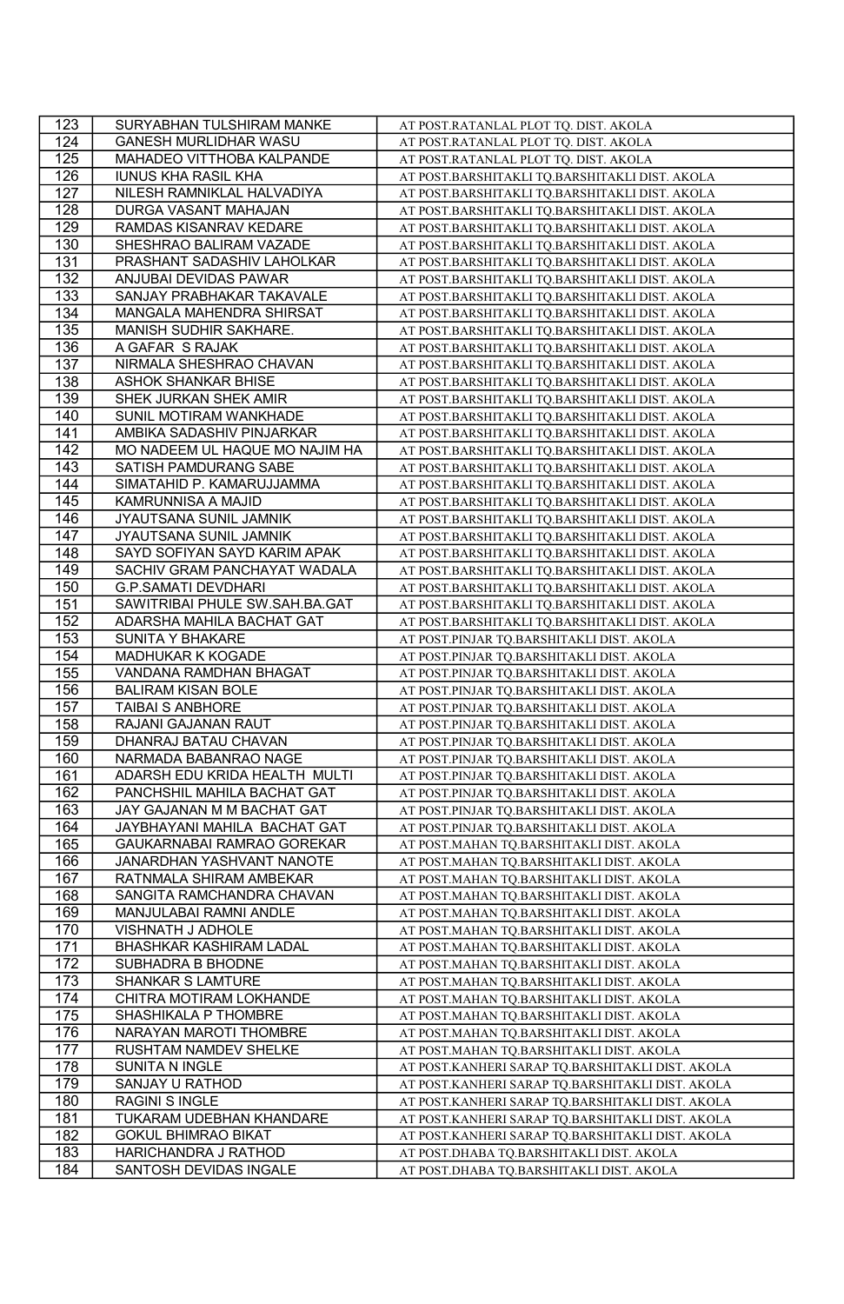| 123              | SURYABHAN TULSHIRAM MANKE                                  | AT POST.RATANLAL PLOT TQ. DIST. AKOLA                                                 |
|------------------|------------------------------------------------------------|---------------------------------------------------------------------------------------|
| 124              | GANESH MURLIDHAR WASU                                      | AT POST.RATANLAL PLOT TQ. DIST. AKOLA                                                 |
| 125              | MAHADEO VITTHOBA KALPANDE                                  | AT POST.RATANLAL PLOT TQ. DIST. AKOLA                                                 |
| 126              | <b>IUNUS KHA RASIL KHA</b>                                 | AT POST.BARSHITAKLI TQ.BARSHITAKLI DIST. AKOLA                                        |
| 127              | NILESH RAMNIKLAL HALVADIYA                                 | AT POST.BARSHITAKLI TQ.BARSHITAKLI DIST. AKOLA                                        |
| 128              | DURGA VASANT MAHAJAN                                       | AT POST.BARSHITAKLI TQ.BARSHITAKLI DIST. AKOLA                                        |
| 129              | RAMDAS KISANRAV KEDARE                                     | AT POST.BARSHITAKLI TQ.BARSHITAKLI DIST. AKOLA                                        |
| 130              | SHESHRAO BALIRAM VAZADE                                    | AT POST.BARSHITAKLI TQ.BARSHITAKLI DIST. AKOLA                                        |
| 131              | PRASHANT SADASHIV LAHOLKAR                                 | AT POST.BARSHITAKLI TQ.BARSHITAKLI DIST. AKOLA                                        |
| 132              | ANJUBAI DEVIDAS PAWAR                                      | AT POST.BARSHITAKLI TQ.BARSHITAKLI DIST. AKOLA                                        |
| 133              | SANJAY PRABHAKAR TAKAVALE                                  | AT POST.BARSHITAKLI TQ.BARSHITAKLI DIST. AKOLA                                        |
| 134              | MANGALA MAHENDRA SHIRSAT                                   | AT POST.BARSHITAKLI TQ.BARSHITAKLI DIST. AKOLA                                        |
| 135              | MANISH SUDHIR SAKHARE.                                     | AT POST.BARSHITAKLI TQ.BARSHITAKLI DIST. AKOLA                                        |
| 136              | A GAFAR S RAJAK                                            | AT POST.BARSHITAKLI TQ.BARSHITAKLI DIST. AKOLA                                        |
| 137              | NIRMALA SHESHRAO CHAVAN                                    | AT POST.BARSHITAKLI TQ.BARSHITAKLI DIST. AKOLA                                        |
| 138              | ASHOK SHANKAR BHISE                                        | AT POST.BARSHITAKLI TQ.BARSHITAKLI DIST. AKOLA                                        |
| 139              | SHEK JURKAN SHEK AMIR                                      | AT POST.BARSHITAKLI TQ.BARSHITAKLI DIST. AKOLA                                        |
| 140              | SUNIL MOTIRAM WANKHADE                                     | AT POST.BARSHITAKLI TQ.BARSHITAKLI DIST. AKOLA                                        |
| 141              | AMBIKA SADASHIV PINJARKAR                                  | AT POST.BARSHITAKLI TQ.BARSHITAKLI DIST. AKOLA                                        |
| 142              | MO NADEEM UL HAQUE MO NAJIM HA                             | AT POST.BARSHITAKLI TQ.BARSHITAKLI DIST. AKOLA                                        |
| 143              | SATISH PAMDURANG SABE                                      | AT POST.BARSHITAKLI TQ.BARSHITAKLI DIST. AKOLA                                        |
| 144              | SIMATAHID P. KAMARUJJAMMA                                  | AT POST.BARSHITAKLI TQ.BARSHITAKLI DIST. AKOLA                                        |
| 145              | KAMRUNNISA A MAJID                                         | AT POST.BARSHITAKLI TQ.BARSHITAKLI DIST. AKOLA                                        |
| 146              | JYAUTSANA SUNIL JAMNIK                                     | AT POST.BARSHITAKLI TQ.BARSHITAKLI DIST. AKOLA                                        |
| $\overline{147}$ | JYAUTSANA SUNIL JAMNIK                                     | AT POST.BARSHITAKLI TQ.BARSHITAKLI DIST. AKOLA                                        |
| 148              | SAYD SOFIYAN SAYD KARIM APAK                               | AT POST.BARSHITAKLI TQ.BARSHITAKLI DIST. AKOLA                                        |
| 149              | SACHIV GRAM PANCHAYAT WADALA                               | AT POST.BARSHITAKLI TQ.BARSHITAKLI DIST. AKOLA                                        |
| 150              | <b>G.P.SAMATI DEVDHARI</b>                                 | AT POST.BARSHITAKLI TQ.BARSHITAKLI DIST. AKOLA                                        |
| 151              | SAWITRIBAI PHULE SW.SAH.BA.GAT                             | AT POST.BARSHITAKLI TQ.BARSHITAKLI DIST. AKOLA                                        |
| 152              | ADARSHA MAHILA BACHAT GAT                                  | AT POST.BARSHITAKLI TQ.BARSHITAKLI DIST. AKOLA                                        |
| 153              | <b>SUNITA Y BHAKARE</b>                                    | AT POST.PINJAR TQ.BARSHITAKLI DIST. AKOLA                                             |
| 154              | MADHUKAR K KOGADE                                          | AT POST.PINJAR TQ.BARSHITAKLI DIST. AKOLA                                             |
| 155              | VANDANA RAMDHAN BHAGAT                                     | AT POST.PINJAR TQ.BARSHITAKLI DIST. AKOLA                                             |
| 156              | <b>BALIRAM KISAN BOLE</b>                                  | AT POST.PINJAR TQ.BARSHITAKLI DIST. AKOLA                                             |
| 157              | TAIBAI S ANBHORE                                           | AT POST.PINJAR TQ.BARSHITAKLI DIST. AKOLA                                             |
| 158              | RAJANI GAJANAN RAUT                                        | AT POST.PINJAR TQ.BARSHITAKLI DIST. AKOLA                                             |
| 159              | DHANRAJ BATAU CHAVAN                                       | AT POST.PINJAR TQ.BARSHITAKLI DIST. AKOLA                                             |
| 160              | NARMADA BABANRAO NAGE                                      | AT POST.PINJAR TQ.BARSHITAKLI DIST. AKOLA                                             |
| 161              | ADARSH EDU KRIDA HEALTH MULTI                              | AT POST.PINJAR TQ.BARSHITAKLI DIST. AKOLA                                             |
| 162              |                                                            |                                                                                       |
|                  |                                                            |                                                                                       |
|                  | PANCHSHIL MAHILA BACHAT GAT                                | AT POST.PINJAR TQ.BARSHITAKLI DIST. AKOLA                                             |
| 163              | JAY GAJANAN M M BACHAT GAT<br>JAYBHAYANI MAHILA BACHAT GAT | AT POST.PINJAR TQ.BARSHITAKLI DIST. AKOLA                                             |
| 164<br>165       | GAUKARNABAI RAMRAO GOREKAR                                 | AT POST.PINJAR TQ.BARSHITAKLI DIST. AKOLA<br>AT POST.MAHAN TQ.BARSHITAKLI DIST. AKOLA |
|                  |                                                            |                                                                                       |
| 166<br>167       | JANARDHAN YASHVANT NANOTE<br>RATNMALA SHIRAM AMBEKAR       | AT POST.MAHAN TQ.BARSHITAKLI DIST. AKOLA<br>AT POST.MAHAN TQ.BARSHITAKLI DIST. AKOLA  |
| 168              | SANGITA RAMCHANDRA CHAVAN                                  | AT POST.MAHAN TQ.BARSHITAKLI DIST. AKOLA                                              |
| 169              | MANJULABAI RAMNI ANDLE                                     | AT POST.MAHAN TQ.BARSHITAKLI DIST. AKOLA                                              |
| 170              | <b>VISHNATH J ADHOLE</b>                                   | AT POST.MAHAN TQ.BARSHITAKLI DIST. AKOLA                                              |
| 171              | BHASHKAR KASHIRAM LADAL                                    | AT POST.MAHAN TQ.BARSHITAKLI DIST. AKOLA                                              |
| 172              | SUBHADRA B BHODNE                                          | AT POST.MAHAN TQ.BARSHITAKLI DIST. AKOLA                                              |
|                  | SHANKAR S LAMTURE                                          | AT POST.MAHAN TQ.BARSHITAKLI DIST. AKOLA                                              |
| 173<br>174       | CHITRA MOTIRAM LOKHANDE                                    | AT POST.MAHAN TQ.BARSHITAKLI DIST. AKOLA                                              |
| 175              | SHASHIKALA P THOMBRE                                       | AT POST.MAHAN TQ.BARSHITAKLI DIST. AKOLA                                              |
| 176              | NARAYAN MAROTI THOMBRE                                     | AT POST.MAHAN TQ.BARSHITAKLI DIST. AKOLA                                              |
| 177              | RUSHTAM NAMDEV SHELKE                                      | AT POST.MAHAN TQ.BARSHITAKLI DIST. AKOLA                                              |
| 178              | SUNITA N INGLE                                             | AT POST.KANHERI SARAP TQ.BARSHITAKLI DIST. AKOLA                                      |
| 179              | SANJAY U RATHOD                                            | AT POST.KANHERI SARAP TQ.BARSHITAKLI DIST. AKOLA                                      |
| 180              | <b>RAGINI S INGLE</b>                                      | AT POST.KANHERI SARAP TQ.BARSHITAKLI DIST. AKOLA                                      |
| 181              | TUKARAM UDEBHAN KHANDARE                                   | AT POST.KANHERI SARAP TQ.BARSHITAKLI DIST. AKOLA                                      |
| 182              | <b>GOKUL BHIMRAO BIKAT</b>                                 | AT POST.KANHERI SARAP TQ.BARSHITAKLI DIST. AKOLA                                      |
| 183              | HARICHANDRA J RATHOD                                       | AT POST.DHABA TQ.BARSHITAKLI DIST. AKOLA                                              |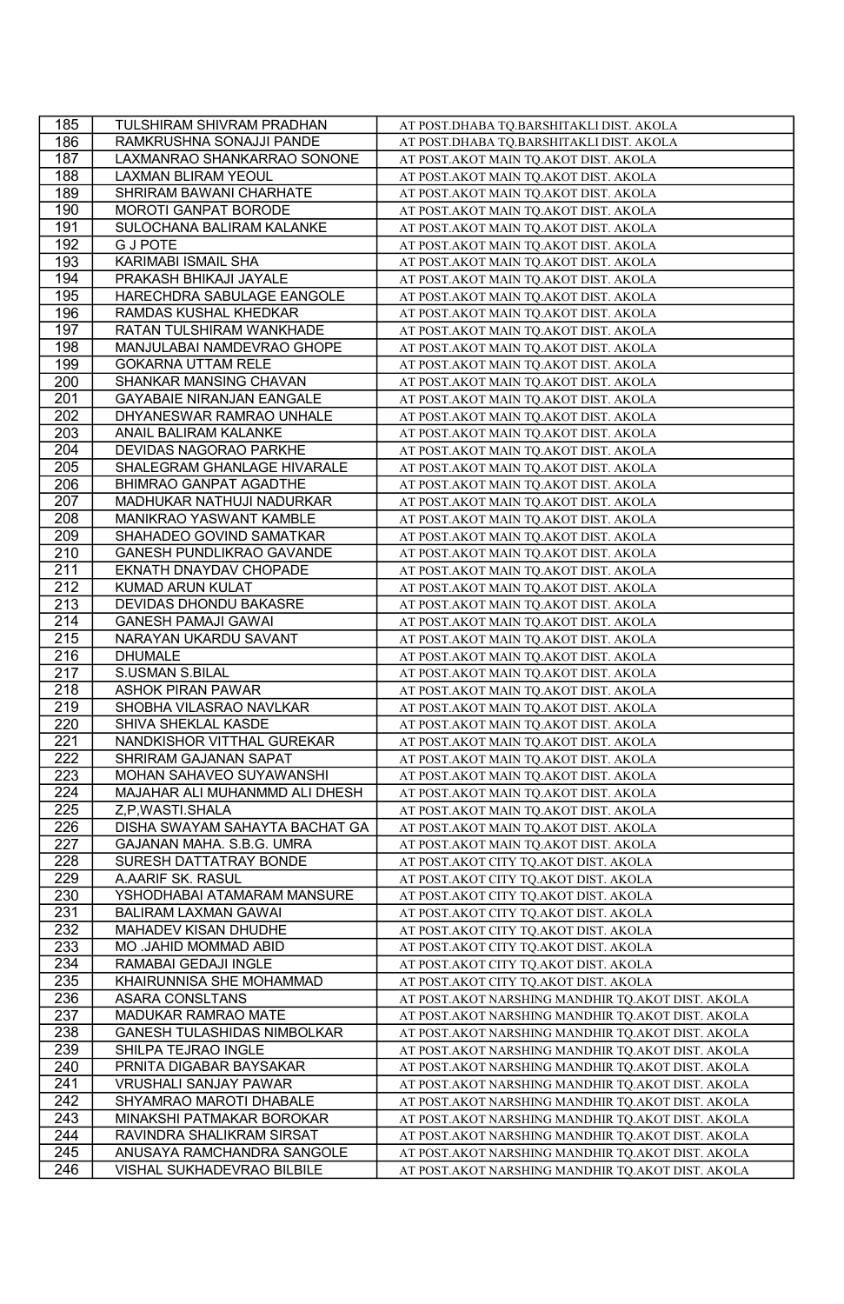| 185              | TULSHIRAM SHIVRAM PRADHAN                  | AT POST.DHABA TQ.BARSHITAKLI DIST. AKOLA            |
|------------------|--------------------------------------------|-----------------------------------------------------|
| 186              | RAMKRUSHNA SONAJJI PANDE                   | AT POST.DHABA TQ.BARSHITAKLI DIST. AKOLA            |
| 187              | LAXMANRAO SHANKARRAO SONONE                | AT POST.AKOT MAIN TQ.AKOT DIST. AKOLA               |
| 188              | <b>LAXMAN BLIRAM YEOUL</b>                 | AT POST. AKOT MAIN TQ. AKOT DIST. AKOLA             |
| 189              | SHRIRAM BAWANI CHARHATE                    | AT POST. AKOT MAIN TQ. AKOT DIST. AKOLA             |
| 190              | MOROTI GANPAT BORODE                       | AT POST.AKOT MAIN TQ.AKOT DIST. AKOLA               |
| 191              | SULOCHANA BALIRAM KALANKE                  | AT POST. AKOT MAIN TQ. AKOT DIST. AKOLA             |
| 192              | <b>GJ POTE</b>                             | AT POST.AKOT MAIN TQ.AKOT DIST. AKOLA               |
| 193              | KARIMABI ISMAIL SHA                        | AT POST.AKOT MAIN TQ.AKOT DIST. AKOLA               |
| 194              | PRAKASH BHIKAJI JAYALE                     | AT POST.AKOT MAIN TQ.AKOT DIST. AKOLA               |
| 195              | HARECHDRA SABULAGE EANGOLE                 | AT POST.AKOT MAIN TQ.AKOT DIST. AKOLA               |
| 196              | RAMDAS KUSHAL KHEDKAR                      | AT POST.AKOT MAIN TQ.AKOT DIST. AKOLA               |
| 197              | RATAN TULSHIRAM WANKHADE                   | AT POST.AKOT MAIN TQ.AKOT DIST. AKOLA               |
| 198              | MANJULABAI NAMDEVRAO GHOPE                 | AT POST.AKOT MAIN TQ.AKOT DIST. AKOLA               |
| 199              | <b>GOKARNA UTTAM RELE</b>                  | AT POST.AKOT MAIN TQ.AKOT DIST. AKOLA               |
| 200              | SHANKAR MANSING CHAVAN                     | AT POST. AKOT MAIN TQ. AKOT DIST. AKOLA             |
| 201              | GAYABAIE NIRANJAN EANGALE                  | AT POST.AKOT MAIN TQ.AKOT DIST. AKOLA               |
| 202              | DHYANESWAR RAMRAO UNHALE                   | AT POST.AKOT MAIN TQ.AKOT DIST. AKOLA               |
| 203              | ANAIL BALIRAM KALANKE                      | AT POST. AKOT MAIN TQ. AKOT DIST. AKOLA             |
| 204              | DEVIDAS NAGORAO PARKHE                     | AT POST. AKOT MAIN TQ. AKOT DIST. AKOLA             |
| 205              | SHALEGRAM GHANLAGE HIVARALE                | AT POST. AKOT MAIN TQ. AKOT DIST. AKOLA             |
| 206              | BHIMRAO GANPAT AGADTHE                     | AT POST.AKOT MAIN TQ.AKOT DIST. AKOLA               |
| 207              | MADHUKAR NATHUJI NADURKAR                  | AT POST.AKOT MAIN TQ.AKOT DIST. AKOLA               |
| 208              | MANIKRAO YASWANT KAMBLE                    | AT POST. AKOT MAIN TQ. AKOT DIST. AKOLA             |
| 209              | SHAHADEO GOVIND SAMATKAR                   |                                                     |
| 210              | GANESH PUNDLIKRAO GAVANDE                  | AT POST. AKOT MAIN TQ. AKOT DIST. AKOLA             |
| 211              |                                            | AT POST.AKOT MAIN TQ.AKOT DIST. AKOLA               |
| 212              | EKNATH DNAYDAV CHOPADE<br>KUMAD ARUN KULAT | AT POST.AKOT MAIN TQ.AKOT DIST. AKOLA               |
|                  | DEVIDAS DHONDU BAKASRE                     | AT POST.AKOT MAIN TQ.AKOT DIST. AKOLA               |
| 213<br>214       |                                            | AT POST.AKOT MAIN TQ.AKOT DIST. AKOLA               |
| 215              | GANESH PAMAJI GAWAI                        | AT POST. AKOT MAIN TQ. AKOT DIST. AKOLA             |
|                  | NARAYAN UKARDU SAVANT                      | AT POST.AKOT MAIN TQ.AKOT DIST. AKOLA               |
| 216              | <b>DHUMALE</b>                             | AT POST.AKOT MAIN TQ.AKOT DIST. AKOLA               |
| 217              | S.USMAN S.BILAL                            | AT POST.AKOT MAIN TQ.AKOT DIST. AKOLA               |
| $\overline{218}$ | <b>ASHOK PIRAN PAWAR</b>                   | AT POST.AKOT MAIN TQ.AKOT DIST. AKOLA               |
| 219<br>220       | SHOBHA VILASRAO NAVLKAR                    | AT POST.AKOT MAIN TQ.AKOT DIST. AKOLA               |
|                  | SHIVA SHEKLAL KASDE                        | AT POST.AKOT MAIN TQ.AKOT DIST. AKOLA               |
| 221              | NANDKISHOR VITTHAL GUREKAR                 | AT POST.AKOT MAIN TQ.AKOT DIST. AKOLA               |
| 222              | SHRIRAM GAJANAN SAPAT                      | AT POST. AKOT MAIN TQ. AKOT DIST. AKOLA             |
| 223              | MOHAN SAHAVEO SUYAWANSHI                   | AT POST.AKOT MAIN TQ.AKOT DIST. AKOLA               |
| 224              | MAJAHAR ALI MUHANMMD ALI DHESH             | AT POST.AKOT MAIN TQ.AKOT DIST. AKOLA               |
| 225              | Z,P,WASTI.SHALA                            | AT POST.AKOT MAIN TQ.AKOT DIST. AKOLA               |
| 226              | DISHA SWAYAM SAHAYTA BACHAT GA             | AT POST. AKOT MAIN TQ. AKOT DIST. AKOLA             |
| 227              | GAJANAN MAHA. S.B.G. UMRA                  | AT POST. AKOT MAIN TQ. AKOT DIST. AKOLA             |
| 228              | SURESH DATTATRAY BONDE                     | AT POST.AKOT CITY TQ.AKOT DIST. AKOLA               |
| 229              | A.AARIF SK. RASUL                          | AT POST. AKOT CITY TQ. AKOT DIST. AKOLA             |
| 230              | YSHODHABAI ATAMARAM MANSURE                | AT POST.AKOT CITY TQ.AKOT DIST. AKOLA               |
| 231              | <b>BALIRAM LAXMAN GAWAI</b>                | AT POST.AKOT CITY TQ.AKOT DIST. AKOLA               |
| 232              | MAHADEV KISAN DHUDHE                       | AT POST. AKOT CITY TQ. AKOT DIST. AKOLA             |
| 233              | MO .JAHID MOMMAD ABID                      | AT POST.AKOT CITY TQ.AKOT DIST. AKOLA               |
| 234              | RAMABAI GEDAJI INGLE                       | AT POST.AKOT CITY TQ.AKOT DIST. AKOLA               |
| 235              | KHAIRUNNISA SHE MOHAMMAD                   | AT POST.AKOT CITY TQ.AKOT DIST. AKOLA               |
| 236              | <b>ASARA CONSLTANS</b>                     | AT POST.AKOT NARSHING MANDHIR TQ.AKOT DIST. AKOLA   |
| 237              | MADUKAR RAMRAO MATE                        | AT POST. AKOT NARSHING MANDHIR TQ. AKOT DIST. AKOLA |
| 238              | GANESH TULASHIDAS NIMBOLKAR                | AT POST. AKOT NARSHING MANDHIR TQ. AKOT DIST. AKOLA |
| 239              | SHILPA TEJRAO INGLE                        | AT POST. AKOT NARSHING MANDHIR TQ. AKOT DIST. AKOLA |
| 240              | PRNITA DIGABAR BAYSAKAR                    | AT POST.AKOT NARSHING MANDHIR TQ.AKOT DIST. AKOLA   |
| 241              | <b>VRUSHALI SANJAY PAWAR</b>               | AT POST.AKOT NARSHING MANDHIR TQ.AKOT DIST. AKOLA   |
| 242              | SHYAMRAO MAROTI DHABALE                    | AT POST. AKOT NARSHING MANDHIR TQ. AKOT DIST. AKOLA |
| 243              | MINAKSHI PATMAKAR BOROKAR                  | AT POST. AKOT NARSHING MANDHIR TQ. AKOT DIST. AKOLA |
| 244              | RAVINDRA SHALIKRAM SIRSAT                  | AT POST.AKOT NARSHING MANDHIR TQ.AKOT DIST. AKOLA   |
| 245              | ANUSAYA RAMCHANDRA SANGOLE                 | AT POST. AKOT NARSHING MANDHIR TQ. AKOT DIST. AKOLA |
| 246              | VISHAL SUKHADEVRAO BILBILE                 | AT POST. AKOT NARSHING MANDHIR TQ. AKOT DIST. AKOLA |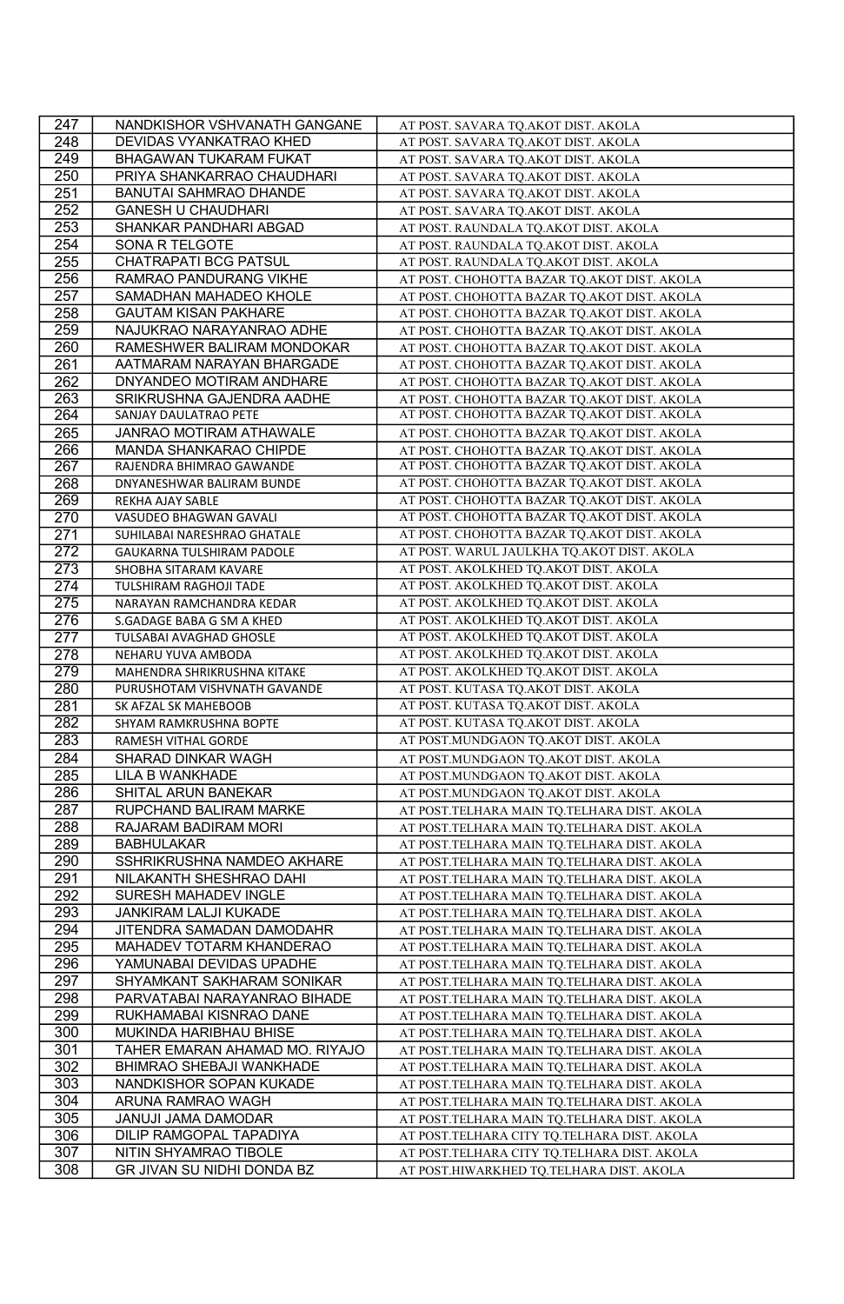| 247        | NANDKISHOR VSHVANATH GANGANE                        | AT POST. SAVARA TQ.AKOT DIST. AKOLA                                                     |
|------------|-----------------------------------------------------|-----------------------------------------------------------------------------------------|
| 248        | DEVIDAS VYANKATRAO KHED                             | AT POST. SAVARA TQ.AKOT DIST. AKOLA                                                     |
| 249        | BHAGAWAN TUKARAM FUKAT                              | AT POST. SAVARA TQ.AKOT DIST. AKOLA                                                     |
| 250        | PRIYA SHANKARRAO CHAUDHARI                          | AT POST. SAVARA TQ.AKOT DIST. AKOLA                                                     |
| 251        | BANUTAI SAHMRAO DHANDE                              | AT POST. SAVARA TQ.AKOT DIST. AKOLA                                                     |
| 252        | <b>GANESH U CHAUDHARI</b>                           | AT POST. SAVARA TQ.AKOT DIST. AKOLA                                                     |
| 253        | SHANKAR PANDHARI ABGAD                              | AT POST. RAUNDALA TO.AKOT DIST. AKOLA                                                   |
| 254        | SONA R TELGOTE                                      | AT POST. RAUNDALA TQ.AKOT DIST. AKOLA                                                   |
| 255        | CHATRAPATI BCG PATSUL                               | AT POST. RAUNDALA TQ.AKOT DIST. AKOLA                                                   |
| 256        | RAMRAO PANDURANG VIKHE                              | AT POST. CHOHOTTA BAZAR TQ.AKOT DIST. AKOLA                                             |
| 257        | SAMADHAN MAHADEO KHOLE                              | AT POST. CHOHOTTA BAZAR TQ.AKOT DIST. AKOLA                                             |
| 258        | <b>GAUTAM KISAN PAKHARE</b>                         | AT POST. CHOHOTTA BAZAR TQ.AKOT DIST. AKOLA                                             |
| 259        | NAJUKRAO NARAYANRAO ADHE                            | AT POST. CHOHOTTA BAZAR TO.AKOT DIST. AKOLA                                             |
| 260        | RAMESHWER BALIRAM MONDOKAR                          | AT POST. CHOHOTTA BAZAR TQ.AKOT DIST. AKOLA                                             |
| 261        | AATMARAM NARAYAN BHARGADE                           | AT POST. CHOHOTTA BAZAR TQ.AKOT DIST. AKOLA                                             |
| 262        | DNYANDEO MOTIRAM ANDHARE                            | AT POST. CHOHOTTA BAZAR TQ.AKOT DIST. AKOLA                                             |
| 263        | SRIKRUSHNA GAJENDRA AADHE                           | AT POST. CHOHOTTA BAZAR TQ.AKOT DIST. AKOLA                                             |
| 264        | SANJAY DAULATRAO PETE                               | AT POST. CHOHOTTA BAZAR TQ.AKOT DIST. AKOLA                                             |
| 265        | <b>JANRAO MOTIRAM ATHAWALE</b>                      | AT POST. CHOHOTTA BAZAR TQ.AKOT DIST. AKOLA                                             |
| 266        | MANDA SHANKARAO CHIPDE                              | AT POST. CHOHOTTA BAZAR TO.AKOT DIST. AKOLA                                             |
| 267        | RAJENDRA BHIMRAO GAWANDE                            | AT POST. CHOHOTTA BAZAR TQ.AKOT DIST. AKOLA                                             |
| 268        | DNYANESHWAR BALIRAM BUNDE                           | AT POST. CHOHOTTA BAZAR TO.AKOT DIST. AKOLA                                             |
| 269        | REKHA AJAY SABLE                                    | AT POST. CHOHOTTA BAZAR TQ.AKOT DIST. AKOLA                                             |
| 270        | VASUDEO BHAGWAN GAVALI                              | AT POST. CHOHOTTA BAZAR TQ.AKOT DIST. AKOLA                                             |
| 271        | SUHILABAI NARESHRAO GHATALE                         | AT POST. CHOHOTTA BAZAR TQ.AKOT DIST. AKOLA                                             |
| 272        | GAUKARNA TULSHIRAM PADOLE                           | AT POST. WARUL JAULKHA TQ.AKOT DIST. AKOLA                                              |
| 273        | SHOBHA SITARAM KAVARE                               | AT POST. AKOLKHED TQ.AKOT DIST. AKOLA                                                   |
| 274        | <b>TULSHIRAM RAGHOJI TADE</b>                       | AT POST. AKOLKHED TQ.AKOT DIST. AKOLA                                                   |
| 275        | NARAYAN RAMCHANDRA KEDAR                            | AT POST. AKOLKHED TQ.AKOT DIST. AKOLA                                                   |
| 276        | S.GADAGE BABA G SM A KHED                           | AT POST. AKOLKHED TQ.AKOT DIST. AKOLA                                                   |
| 277        | <b>TULSABAI AVAGHAD GHOSLE</b>                      | AT POST. AKOLKHED TQ.AKOT DIST. AKOLA                                                   |
| 278        | NEHARU YUVA AMBODA                                  | AT POST. AKOLKHED TQ.AKOT DIST. AKOLA                                                   |
| 279        | MAHENDRA SHRIKRUSHNA KITAKE                         | AT POST. AKOLKHED TQ.AKOT DIST. AKOLA                                                   |
| 280        | PURUSHOTAM VISHVNATH GAVANDE                        | AT POST. KUTASA TQ.AKOT DIST. AKOLA                                                     |
| 281        | SK AFZAL SK MAHEBOOB                                | AT POST. KUTASA TQ.AKOT DIST. AKOLA                                                     |
| 282        | SHYAM RAMKRUSHNA BOPTE                              | AT POST. KUTASA TQ.AKOT DIST. AKOLA                                                     |
| 283        | RAMESH VITHAL GORDE                                 | AT POST.MUNDGAON TQ.AKOT DIST. AKOLA                                                    |
| 284        | SHARAD DINKAR WAGH                                  | AT POST.MUNDGAON TQ.AKOT DIST. AKOLA                                                    |
| 285        | LILA B WANKHADE                                     | AT POST.MUNDGAON TQ.AKOT DIST. AKOLA                                                    |
| 286        | SHITAL ARUN BANEKAR                                 | AT POST.MUNDGAON TQ.AKOT DIST. AKOLA                                                    |
| 287        |                                                     |                                                                                         |
|            | RUPCHAND BALIRAM MARKE                              | AT POST.TELHARA MAIN TQ.TELHARA DIST. AKOLA                                             |
| 288        | RAJARAM BADIRAM MORI                                | AT POST.TELHARA MAIN TQ.TELHARA DIST. AKOLA                                             |
| 289        | <b>BABHULAKAR</b>                                   | AT POST.TELHARA MAIN TQ.TELHARA DIST. AKOLA                                             |
| 290        | SSHRIKRUSHNA NAMDEO AKHARE                          | AT POST.TELHARA MAIN TQ.TELHARA DIST. AKOLA                                             |
| 291        | NILAKANTH SHESHRAO DAHI                             | AT POST.TELHARA MAIN TQ.TELHARA DIST. AKOLA                                             |
| 292        | SURESH MAHADEV INGLE                                | AT POST.TELHARA MAIN TQ.TELHARA DIST. AKOLA                                             |
| 293        | JANKIRAM LALJI KUKADE                               | AT POST.TELHARA MAIN TQ.TELHARA DIST. AKOLA                                             |
| 294        | JITENDRA SAMADAN DAMODAHR                           | AT POST.TELHARA MAIN TQ.TELHARA DIST. AKOLA                                             |
| 295        | MAHADEV TOTARM KHANDERAO                            | AT POST.TELHARA MAIN TQ.TELHARA DIST. AKOLA                                             |
| 296        | YAMUNABAI DEVIDAS UPADHE                            | AT POST.TELHARA MAIN TQ.TELHARA DIST. AKOLA                                             |
| 297        | SHYAMKANT SAKHARAM SONIKAR                          | AT POST.TELHARA MAIN TQ.TELHARA DIST. AKOLA                                             |
| 298        | PARVATABAI NARAYANRAO BIHADE                        | AT POST.TELHARA MAIN TQ.TELHARA DIST. AKOLA                                             |
| 299        | RUKHAMABAI KISNRAO DANE                             | AT POST.TELHARA MAIN TQ.TELHARA DIST. AKOLA                                             |
| 300        | MUKINDA HARIBHAU BHISE                              | AT POST.TELHARA MAIN TO.TELHARA DIST. AKOLA                                             |
| 301        | TAHER EMARAN AHAMAD MO. RIYAJO                      | AT POST.TELHARA MAIN TQ.TELHARA DIST. AKOLA                                             |
| 302        | BHIMRAO SHEBAJI WANKHADE                            | AT POST.TELHARA MAIN TQ.TELHARA DIST. AKOLA                                             |
| 303        | NANDKISHOR SOPAN KUKADE                             | AT POST.TELHARA MAIN TQ.TELHARA DIST. AKOLA                                             |
| 304        | ARUNA RAMRAO WAGH                                   | AT POST.TELHARA MAIN TQ.TELHARA DIST. AKOLA                                             |
| 305        | JANUJI JAMA DAMODAR                                 | AT POST.TELHARA MAIN TQ.TELHARA DIST. AKOLA                                             |
| 306        | DILIP RAMGOPAL TAPADIYA                             | AT POST.TELHARA CITY TQ.TELHARA DIST. AKOLA                                             |
| 307<br>308 | NITIN SHYAMRAO TIBOLE<br>GR JIVAN SU NIDHI DONDA BZ | AT POST.TELHARA CITY TQ.TELHARA DIST. AKOLA<br>AT POST.HIWARKHED TQ.TELHARA DIST. AKOLA |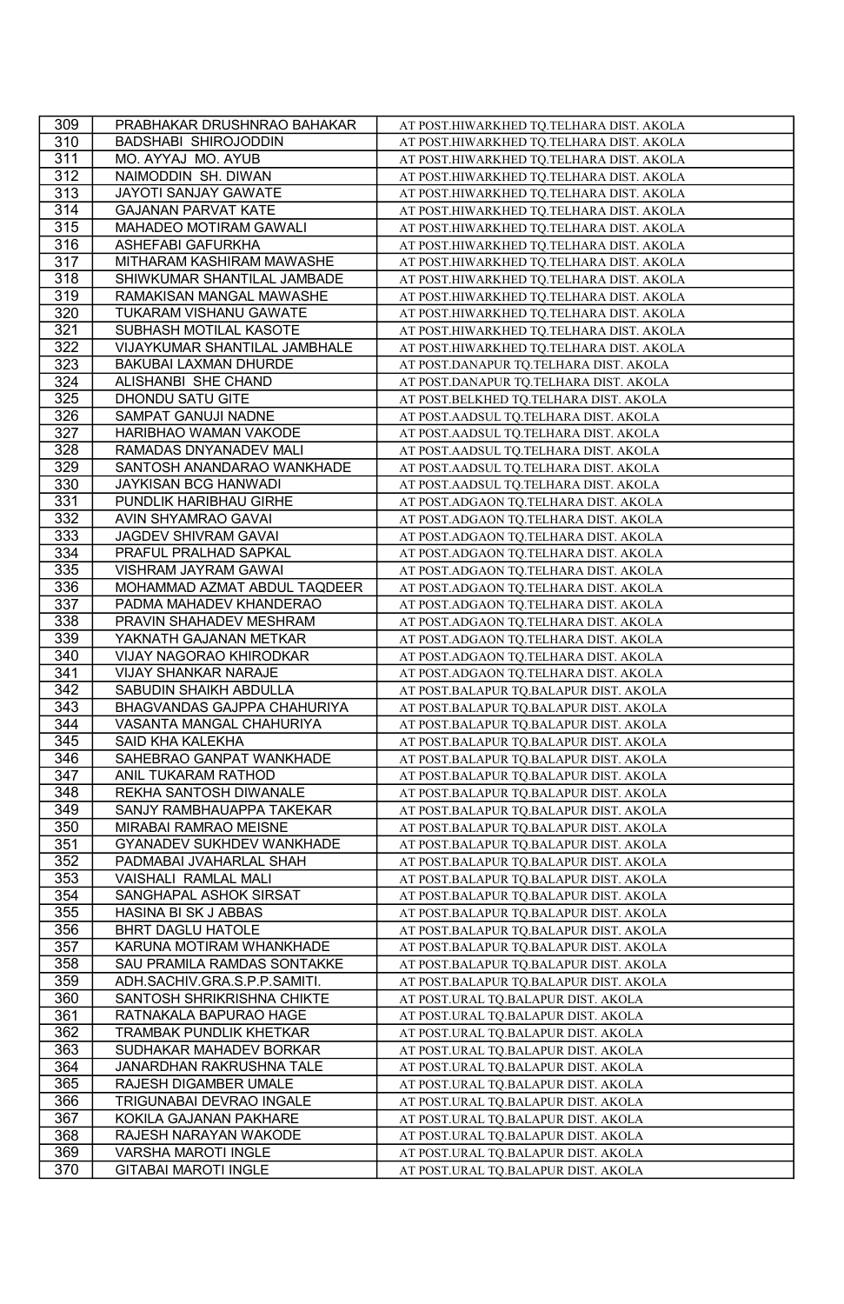| 309              | PRABHAKAR DRUSHNRAO BAHAKAR                       | AT POST.HIWARKHED TQ.TELHARA DIST. AKOLA                                       |
|------------------|---------------------------------------------------|--------------------------------------------------------------------------------|
| 310              | BADSHABI SHIROJODDIN                              | AT POST.HIWARKHED TQ.TELHARA DIST. AKOLA                                       |
| 311              | MO. AYYAJ MO. AYUB                                | AT POST.HIWARKHED TQ.TELHARA DIST. AKOLA                                       |
| 312              | NAIMODDIN SH. DIWAN                               | AT POST.HIWARKHED TQ.TELHARA DIST. AKOLA                                       |
| $\overline{313}$ | JAYOTI SANJAY GAWATE                              | AT POST.HIWARKHED TQ.TELHARA DIST. AKOLA                                       |
| 314              | <b>GAJANAN PARVAT KATE</b>                        | AT POST.HIWARKHED TQ.TELHARA DIST. AKOLA                                       |
| 315              | MAHADEO MOTIRAM GAWALI                            | AT POST.HIWARKHED TQ.TELHARA DIST. AKOLA                                       |
| 316              | ASHEFABI GAFURKHA                                 | AT POST.HIWARKHED TQ.TELHARA DIST. AKOLA                                       |
| 317              | MITHARAM KASHIRAM MAWASHE                         | AT POST.HIWARKHED TQ.TELHARA DIST. AKOLA                                       |
| 318              | SHIWKUMAR SHANTILAL JAMBADE                       | AT POST.HIWARKHED TQ.TELHARA DIST. AKOLA                                       |
| 319              | RAMAKISAN MANGAL MAWASHE                          | AT POST.HIWARKHED TQ.TELHARA DIST. AKOLA                                       |
| 320              | TUKARAM VISHANU GAWATE                            | AT POST.HIWARKHED TQ.TELHARA DIST. AKOLA                                       |
| 321              | SUBHASH MOTILAL KASOTE                            | AT POST.HIWARKHED TQ.TELHARA DIST. AKOLA                                       |
| 322              | VIJAYKUMAR SHANTILAL JAMBHALE                     | AT POST.HIWARKHED TQ.TELHARA DIST. AKOLA                                       |
| 323              | BAKUBAI LAXMAN DHURDE                             | AT POST.DANAPUR TQ.TELHARA DIST. AKOLA                                         |
| 324              | ALISHANBI SHE CHAND                               | AT POST.DANAPUR TQ.TELHARA DIST. AKOLA                                         |
| 325              | DHONDU SATU GITE                                  | AT POST.BELKHED TQ.TELHARA DIST. AKOLA                                         |
| 326              | SAMPAT GANUJI NADNE                               | AT POST. AADSUL TQ. TELHARA DIST. AKOLA                                        |
| 327              | HARIBHAO WAMAN VAKODE                             | AT POST.AADSUL TQ.TELHARA DIST. AKOLA                                          |
| 328              | RAMADAS DNYANADEV MALI                            | AT POST.AADSUL TQ.TELHARA DIST. AKOLA                                          |
| 329              | SANTOSH ANANDARAO WANKHADE                        | AT POST. AADSUL TQ. TELHARA DIST. AKOLA                                        |
| 330              | JAYKISAN BCG HANWADI                              | AT POST.AADSUL TQ.TELHARA DIST. AKOLA                                          |
| 331              | PUNDLIK HARIBHAU GIRHE                            | AT POST.ADGAON TQ.TELHARA DIST. AKOLA                                          |
| 332              | AVIN SHYAMRAO GAVAI                               | AT POST.ADGAON TQ.TELHARA DIST. AKOLA                                          |
| 333              | JAGDEV SHIVRAM GAVAI                              | AT POST.ADGAON TQ.TELHARA DIST. AKOLA                                          |
| 334              | PRAFUL PRALHAD SAPKAL                             | AT POST.ADGAON TQ.TELHARA DIST. AKOLA                                          |
| 335              | VISHRAM JAYRAM GAWAI                              |                                                                                |
| 336              | MOHAMMAD AZMAT ABDUL TAQDEER                      | AT POST.ADGAON TQ.TELHARA DIST. AKOLA                                          |
|                  |                                                   | AT POST.ADGAON TQ.TELHARA DIST. AKOLA                                          |
| 337              | PADMA MAHADEV KHANDERAO                           | AT POST.ADGAON TQ.TELHARA DIST. AKOLA                                          |
| 338<br>339       | PRAVIN SHAHADEV MESHRAM<br>YAKNATH GAJANAN METKAR | AT POST.ADGAON TQ.TELHARA DIST. AKOLA                                          |
| 340              | VIJAY NAGORAO KHIRODKAR                           | AT POST.ADGAON TQ.TELHARA DIST. AKOLA<br>AT POST.ADGAON TQ.TELHARA DIST. AKOLA |
|                  |                                                   |                                                                                |
|                  |                                                   |                                                                                |
| 341              | VIJAY SHANKAR NARAJE                              | AT POST.ADGAON TQ.TELHARA DIST. AKOLA                                          |
| $\overline{342}$ | SABUDIN SHAIKH ABDULLA                            | AT POST.BALAPUR TQ.BALAPUR DIST. AKOLA                                         |
| 343              | BHAGVANDAS GAJPPA CHAHURIYA                       | AT POST.BALAPUR TQ.BALAPUR DIST. AKOLA                                         |
| 344              | VASANTA MANGAL CHAHURIYA                          | AT POST.BALAPUR TO.BALAPUR DIST. AKOLA                                         |
| 345              | SAID KHA KALEKHA                                  | AT POST.BALAPUR TQ.BALAPUR DIST. AKOLA                                         |
| 346              | SAHEBRAO GANPAT WANKHADE                          | AT POST.BALAPUR TQ.BALAPUR DIST. AKOLA                                         |
| 347              | ANIL TUKARAM RATHOD                               | AT POST.BALAPUR TQ.BALAPUR DIST. AKOLA                                         |
| 348              | REKHA SANTOSH DIWANALE                            | AT POST.BALAPUR TQ.BALAPUR DIST. AKOLA                                         |
| 349              | SANJY RAMBHAUAPPA TAKEKAR                         | AT POST.BALAPUR TQ.BALAPUR DIST. AKOLA                                         |
| 350              | MIRABAI RAMRAO MEISNE                             | AT POST.BALAPUR TQ.BALAPUR DIST. AKOLA                                         |
| 351              | <b>GYANADEV SUKHDEV WANKHADE</b>                  | AT POST.BALAPUR TO.BALAPUR DIST. AKOLA                                         |
| 352              | PADMABAI JVAHARLAL SHAH                           | AT POST.BALAPUR TQ.BALAPUR DIST. AKOLA                                         |
| 353              | VAISHALI RAMLAL MALI                              | AT POST.BALAPUR TQ.BALAPUR DIST. AKOLA                                         |
| 354              | SANGHAPAL ASHOK SIRSAT                            | AT POST.BALAPUR TQ.BALAPUR DIST. AKOLA                                         |
| 355              | HASINA BI SK J ABBAS                              | AT POST.BALAPUR TQ.BALAPUR DIST. AKOLA                                         |
| 356              | <b>BHRT DAGLU HATOLE</b>                          | AT POST.BALAPUR TQ.BALAPUR DIST. AKOLA                                         |
| 357              | KARUNA MOTIRAM WHANKHADE                          | AT POST.BALAPUR TQ.BALAPUR DIST. AKOLA                                         |
| 358              | SAU PRAMILA RAMDAS SONTAKKE                       | AT POST.BALAPUR TQ.BALAPUR DIST. AKOLA                                         |
| 359              | ADH.SACHIV.GRA.S.P.P.SAMITI.                      | AT POST.BALAPUR TQ.BALAPUR DIST. AKOLA                                         |
| 360              | SANTOSH SHRIKRISHNA CHIKTE                        | AT POST.URAL TQ.BALAPUR DIST. AKOLA                                            |
| 361              | RATNAKALA BAPURAO HAGE                            | AT POST.URAL TQ.BALAPUR DIST. AKOLA                                            |
| 362              | TRAMBAK PUNDLIK KHETKAR                           | AT POST.URAL TQ.BALAPUR DIST. AKOLA                                            |
| 363              | SUDHAKAR MAHADEV BORKAR                           | AT POST.URAL TQ.BALAPUR DIST. AKOLA                                            |
| 364              | JANARDHAN RAKRUSHNA TALE                          | AT POST.URAL TQ.BALAPUR DIST. AKOLA                                            |
| 365              | RAJESH DIGAMBER UMALE                             | AT POST.URAL TQ.BALAPUR DIST. AKOLA                                            |
| 366              | TRIGUNABAI DEVRAO INGALE                          | AT POST.URAL TQ.BALAPUR DIST. AKOLA                                            |
| 367              | KOKILA GAJANAN PAKHARE                            | AT POST.URAL TQ.BALAPUR DIST. AKOLA                                            |
| 368              | RAJESH NARAYAN WAKODE                             | AT POST.URAL TQ.BALAPUR DIST. AKOLA                                            |
| 369<br>370       | VARSHA MAROTI INGLE<br>GITABAI MAROTI INGLE       | AT POST.URAL TQ.BALAPUR DIST. AKOLA<br>AT POST.URAL TQ.BALAPUR DIST. AKOLA     |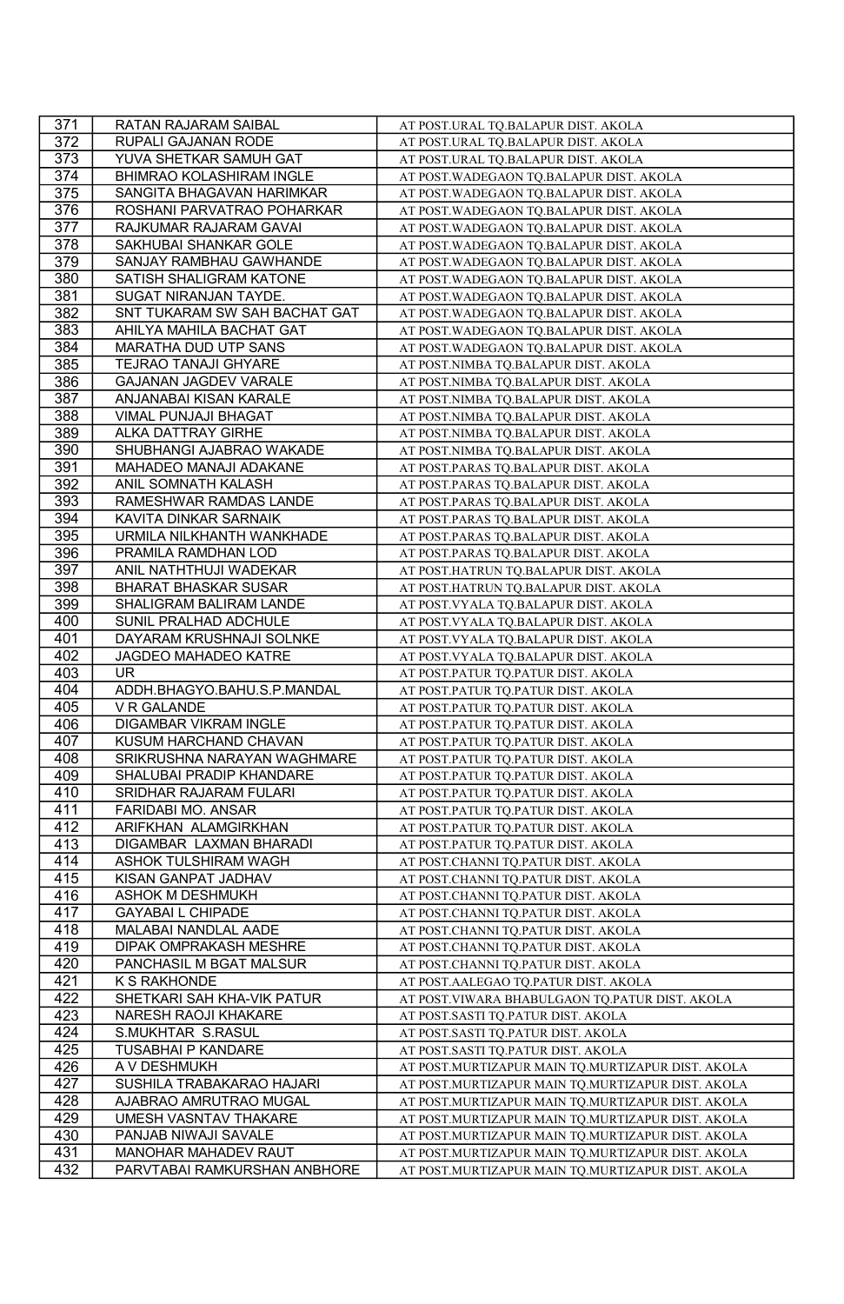| 371              | RATAN RAJARAM SAIBAL          | AT POST.URAL TQ.BALAPUR DIST. AKOLA               |
|------------------|-------------------------------|---------------------------------------------------|
| 372              | RUPALI GAJANAN RODE           | AT POST.URAL TQ.BALAPUR DIST. AKOLA               |
| 373              | YUVA SHETKAR SAMUH GAT        | AT POST.URAL TQ.BALAPUR DIST. AKOLA               |
| 374              | BHIMRAO KOLASHIRAM INGLE      | AT POST. WADEGAON TQ.BALAPUR DIST. AKOLA          |
| $\overline{375}$ | SANGITA BHAGAVAN HARIMKAR     | AT POST. WADEGAON TQ.BALAPUR DIST. AKOLA          |
| 376              | ROSHANI PARVATRAO POHARKAR    | AT POST. WADEGAON TQ.BALAPUR DIST. AKOLA          |
| $\overline{377}$ | RAJKUMAR RAJARAM GAVAI        | AT POST. WADEGAON TQ.BALAPUR DIST. AKOLA          |
| 378              | SAKHUBAI SHANKAR GOLE         | AT POST. WADEGAON TQ.BALAPUR DIST. AKOLA          |
| 379              | SANJAY RAMBHAU GAWHANDE       | AT POST. WADEGAON TQ.BALAPUR DIST. AKOLA          |
| 380              | SATISH SHALIGRAM KATONE       | AT POST. WADEGAON TQ.BALAPUR DIST. AKOLA          |
| 381              | SUGAT NIRANJAN TAYDE.         | AT POST. WADEGAON TQ.BALAPUR DIST. AKOLA          |
| 382              | SNT TUKARAM SW SAH BACHAT GAT | AT POST. WADEGAON TQ.BALAPUR DIST. AKOLA          |
| 383              | AHILYA MAHILA BACHAT GAT      | AT POST. WADEGAON TQ.BALAPUR DIST. AKOLA          |
| 384              | MARATHA DUD UTP SANS          | AT POST. WADEGAON TQ.BALAPUR DIST. AKOLA          |
| 385              | TEJRAO TANAJI GHYARE          | AT POST.NIMBA TQ.BALAPUR DIST. AKOLA              |
| 386              | GAJANAN JAGDEV VARALE         | AT POST.NIMBA TQ.BALAPUR DIST. AKOLA              |
| 387              | ANJANABAI KISAN KARALE        | AT POST.NIMBA TQ.BALAPUR DIST. AKOLA              |
| 388              | VIMAL PUNJAJI BHAGAT          | AT POST.NIMBA TQ.BALAPUR DIST. AKOLA              |
| 389              | ALKA DATTRAY GIRHE            | AT POST.NIMBA TQ.BALAPUR DIST. AKOLA              |
| 390              | SHUBHANGI AJABRAO WAKADE      | AT POST.NIMBA TQ.BALAPUR DIST. AKOLA              |
| 391              | MAHADEO MANAJI ADAKANE        | AT POST.PARAS TQ.BALAPUR DIST. AKOLA              |
| 392              | ANIL SOMNATH KALASH           | AT POST.PARAS TQ.BALAPUR DIST. AKOLA              |
| 393              | RAMESHWAR RAMDAS LANDE        | AT POST.PARAS TQ.BALAPUR DIST. AKOLA              |
| 394              | KAVITA DINKAR SARNAIK         | AT POST.PARAS TQ.BALAPUR DIST. AKOLA              |
| 395              | URMILA NILKHANTH WANKHADE     | AT POST.PARAS TQ.BALAPUR DIST. AKOLA              |
| 396              | PRAMILA RAMDHAN LOD           | AT POST.PARAS TQ.BALAPUR DIST. AKOLA              |
| 397              | ANIL NATHTHUJI WADEKAR        | AT POST.HATRUN TQ.BALAPUR DIST. AKOLA             |
| 398              | BHARAT BHASKAR SUSAR          | AT POST.HATRUN TQ.BALAPUR DIST. AKOLA             |
| 399              | SHALIGRAM BALIRAM LANDE       | AT POST. VYALA TQ. BALAPUR DIST. AKOLA            |
| 400              | SUNIL PRALHAD ADCHULE         | AT POST. VYALA TQ. BALAPUR DIST. AKOLA            |
| 401              | DAYARAM KRUSHNAJI SOLNKE      | AT POST. VYALA TQ.BALAPUR DIST. AKOLA             |
| 402              | JAGDEO MAHADEO KATRE          | AT POST. VYALA TQ. BALAPUR DIST. AKOLA            |
| 403              | <b>UR</b>                     | AT POST.PATUR TQ.PATUR DIST. AKOLA                |
| 404              | ADDH.BHAGYO.BAHU.S.P.MANDAL   | AT POST.PATUR TQ.PATUR DIST. AKOLA                |
| 405              | V R GALANDE                   | AT POST.PATUR TQ.PATUR DIST. AKOLA                |
| 406              | DIGAMBAR VIKRAM INGLE         | AT POST.PATUR TQ.PATUR DIST. AKOLA                |
| 407              | KUSUM HARCHAND CHAVAN         | AT POST.PATUR TQ.PATUR DIST. AKOLA                |
| 408              | SRIKRUSHNA NARAYAN WAGHMARE   | AT POST.PATUR TQ.PATUR DIST. AKOLA                |
| 409              | SHALUBAI PRADIP KHANDARE      | AT POST.PATUR TQ.PATUR DIST. AKOLA                |
| 410              | SRIDHAR RAJARAM FULARI        | AT POST.PATUR TQ.PATUR DIST. AKOLA                |
| 411              | FARIDABI MO. ANSAR            | AT POST.PATUR TQ.PATUR DIST. AKOLA                |
| 412              | ARIFKHAN ALAMGIRKHAN          | AT POST.PATUR TQ.PATUR DIST. AKOLA                |
| 413              | DIGAMBAR LAXMAN BHARADI       | AT POST.PATUR TQ.PATUR DIST. AKOLA                |
| 414              | ASHOK TULSHIRAM WAGH          | AT POST.CHANNI TQ.PATUR DIST. AKOLA               |
| 415              | KISAN GANPAT JADHAV           | AT POST.CHANNI TQ.PATUR DIST. AKOLA               |
| 416              | ASHOK M DESHMUKH              | AT POST.CHANNI TQ.PATUR DIST. AKOLA               |
| 417              | <b>GAYABAI L CHIPADE</b>      | AT POST.CHANNI TQ.PATUR DIST. AKOLA               |
| 418              | MALABAI NANDLAL AADE          | AT POST.CHANNI TQ.PATUR DIST. AKOLA               |
| 419              | DIPAK OMPRAKASH MESHRE        | AT POST.CHANNI TQ.PATUR DIST. AKOLA               |
| 420              | PANCHASIL M BGAT MALSUR       | AT POST.CHANNI TQ.PATUR DIST. AKOLA               |
| 421              | K S RAKHONDE                  | AT POST. AALEGAO TQ. PATUR DIST. AKOLA            |
| 422              | SHETKARI SAH KHA-VIK PATUR    | AT POST.VIWARA BHABULGAON TQ.PATUR DIST. AKOLA    |
| 423              | <b>NARESH RAOJI KHAKARE</b>   | AT POST.SASTI TQ.PATUR DIST. AKOLA                |
| 424              | S.MUKHTAR S.RASUL             | AT POST.SASTI TQ.PATUR DIST. AKOLA                |
| 425              | TUSABHAI P KANDARE            | AT POST.SASTI TQ.PATUR DIST. AKOLA                |
| 426              | A V DESHMUKH                  | AT POST.MURTIZAPUR MAIN TQ.MURTIZAPUR DIST. AKOLA |
| 427              | SUSHILA TRABAKARAO HAJARI     | AT POST.MURTIZAPUR MAIN TQ.MURTIZAPUR DIST. AKOLA |
| 428              | AJABRAO AMRUTRAO MUGAL        | AT POST.MURTIZAPUR MAIN TQ.MURTIZAPUR DIST. AKOLA |
| 429              | UMESH VASNTAV THAKARE         | AT POST.MURTIZAPUR MAIN TQ.MURTIZAPUR DIST. AKOLA |
| 430              | PANJAB NIWAJI SAVALE          | AT POST.MURTIZAPUR MAIN TQ.MURTIZAPUR DIST. AKOLA |
| 431              | MANOHAR MAHADEV RAUT          | AT POST.MURTIZAPUR MAIN TQ.MURTIZAPUR DIST. AKOLA |
| 432              | PARVTABAI RAMKURSHAN ANBHORE  | AT POST.MURTIZAPUR MAIN TQ.MURTIZAPUR DIST. AKOLA |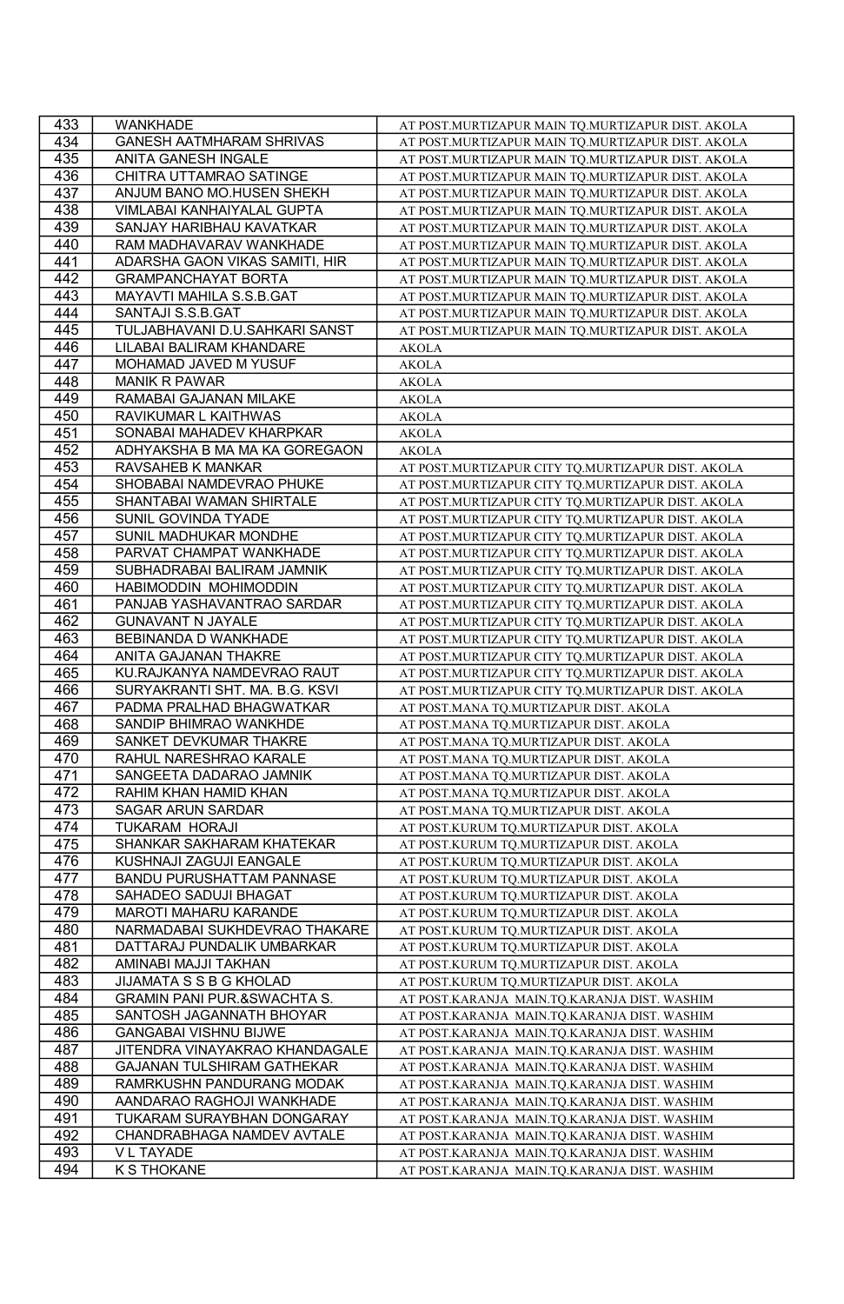| 433        | WANKHADE                               | AT POST.MURTIZAPUR MAIN TQ.MURTIZAPUR DIST. AKOLA |
|------------|----------------------------------------|---------------------------------------------------|
| 434        | <b>GANESH AATMHARAM SHRIVAS</b>        | AT POST.MURTIZAPUR MAIN TQ.MURTIZAPUR DIST. AKOLA |
| 435        | ANITA GANESH INGALE                    | AT POST.MURTIZAPUR MAIN TQ.MURTIZAPUR DIST. AKOLA |
| 436        | CHITRA UTTAMRAO SATINGE                | AT POST.MURTIZAPUR MAIN TQ.MURTIZAPUR DIST. AKOLA |
| 437        | ANJUM BANO MO.HUSEN SHEKH              | AT POST.MURTIZAPUR MAIN TQ.MURTIZAPUR DIST. AKOLA |
| 438        | VIMLABAI KANHAIYALAL GUPTA             | AT POST.MURTIZAPUR MAIN TQ.MURTIZAPUR DIST. AKOLA |
| 439        | SANJAY HARIBHAU KAVATKAR               | AT POST.MURTIZAPUR MAIN TQ.MURTIZAPUR DIST. AKOLA |
| 440        | RAM MADHAVARAV WANKHADE                | AT POST.MURTIZAPUR MAIN TQ.MURTIZAPUR DIST. AKOLA |
| 441        | ADARSHA GAON VIKAS SAMITI, HIR         | AT POST.MURTIZAPUR MAIN TQ.MURTIZAPUR DIST. AKOLA |
| 442        | <b>GRAMPANCHAYAT BORTA</b>             | AT POST.MURTIZAPUR MAIN TQ.MURTIZAPUR DIST. AKOLA |
| 443        | MAYAVTI MAHILA S.S.B.GAT               | AT POST.MURTIZAPUR MAIN TQ.MURTIZAPUR DIST. AKOLA |
| 444        | SANTAJI S.S.B.GAT                      | AT POST.MURTIZAPUR MAIN TQ.MURTIZAPUR DIST. AKOLA |
| 445        | TULJABHAVANI D.U.SAHKARI SANST         | AT POST.MURTIZAPUR MAIN TQ.MURTIZAPUR DIST. AKOLA |
| 446        | LILABAI BALIRAM KHANDARE               | <b>AKOLA</b>                                      |
| 447        | MOHAMAD JAVED M YUSUF                  | <b>AKOLA</b>                                      |
| 448        | <b>MANIK R PAWAR</b>                   | <b>AKOLA</b>                                      |
| 449        | RAMABAI GAJANAN MILAKE                 | <b>AKOLA</b>                                      |
| 450        | RAVIKUMAR L KAITHWAS                   | <b>AKOLA</b>                                      |
| 451        | SONABAI MAHADEV KHARPKAR               | <b>AKOLA</b>                                      |
| 452        | ADHYAKSHA B MA MA KA GOREGAON          | <b>AKOLA</b>                                      |
| 453        | RAVSAHEB K MANKAR                      | AT POST.MURTIZAPUR CITY TQ.MURTIZAPUR DIST. AKOLA |
| 454        | SHOBABAI NAMDEVRAO PHUKE               | AT POST.MURTIZAPUR CITY TQ.MURTIZAPUR DIST. AKOLA |
| 455        | SHANTABAI WAMAN SHIRTALE               |                                                   |
|            |                                        | AT POST.MURTIZAPUR CITY TQ.MURTIZAPUR DIST. AKOLA |
| 456        | SUNIL GOVINDA TYADE                    | AT POST.MURTIZAPUR CITY TQ.MURTIZAPUR DIST. AKOLA |
| 457        | SUNIL MADHUKAR MONDHE                  | AT POST.MURTIZAPUR CITY TQ.MURTIZAPUR DIST. AKOLA |
| 458        | PARVAT CHAMPAT WANKHADE                | AT POST.MURTIZAPUR CITY TQ.MURTIZAPUR DIST. AKOLA |
| 459        | SUBHADRABAI BALIRAM JAMNIK             | AT POST.MURTIZAPUR CITY TQ.MURTIZAPUR DIST. AKOLA |
| 460        | HABIMODDIN MOHIMODDIN                  | AT POST.MURTIZAPUR CITY TQ.MURTIZAPUR DIST. AKOLA |
| 461        | PANJAB YASHAVANTRAO SARDAR             | AT POST.MURTIZAPUR CITY TQ.MURTIZAPUR DIST. AKOLA |
| 462        | <b>GUNAVANT N JAYALE</b>               | AT POST.MURTIZAPUR CITY TQ.MURTIZAPUR DIST. AKOLA |
| 463        | BEBINANDA D WANKHADE                   | AT POST.MURTIZAPUR CITY TQ.MURTIZAPUR DIST. AKOLA |
| 464        | ANITA GAJANAN THAKRE                   | AT POST.MURTIZAPUR CITY TQ.MURTIZAPUR DIST. AKOLA |
|            |                                        |                                                   |
| 465        | KU.RAJKANYA NAMDEVRAO RAUT             | AT POST.MURTIZAPUR CITY TQ.MURTIZAPUR DIST. AKOLA |
| 466        | SURYAKRANTI SHT. MA. B.G. KSVI         | AT POST.MURTIZAPUR CITY TQ.MURTIZAPUR DIST. AKOLA |
| 467        | PADMA PRALHAD BHAGWATKAR               | AT POST.MANA TQ.MURTIZAPUR DIST. AKOLA            |
| 468        | SANDIP BHIMRAO WANKHDE                 | AT POST.MANA TQ.MURTIZAPUR DIST. AKOLA            |
| 469        | SANKET DEVKUMAR THAKRE                 | AT POST.MANA TQ.MURTIZAPUR DIST. AKOLA            |
| 470        | RAHUL NARESHRAO KARALE                 | AT POST.MANA TQ.MURTIZAPUR DIST. AKOLA            |
| 471        | SANGEETA DADARAO JAMNIK                | AT POST.MANA TQ.MURTIZAPUR DIST. AKOLA            |
| 472        | RAHIM KHAN HAMID KHAN                  | AT POST.MANA TQ.MURTIZAPUR DIST. AKOLA            |
| 473        | <b>SAGAR ARUN SARDAR</b>               | AT POST.MANA TO.MURTIZAPUR DIST. AKOLA            |
| 474        | <b>TUKARAM HORAJI</b>                  | AT POST.KURUM TQ.MURTIZAPUR DIST. AKOLA           |
| 475        | SHANKAR SAKHARAM KHATEKAR              | AT POST.KURUM TQ.MURTIZAPUR DIST. AKOLA           |
| 476        | KUSHNAJI ZAGUJI EANGALE                | AT POST.KURUM TQ.MURTIZAPUR DIST. AKOLA           |
| 477        | BANDU PURUSHATTAM PANNASE              | AT POST.KURUM TQ.MURTIZAPUR DIST. AKOLA           |
| 478        | SAHADEO SADUJI BHAGAT                  | AT POST.KURUM TQ.MURTIZAPUR DIST. AKOLA           |
| 479        | MAROTI MAHARU KARANDE                  | AT POST.KURUM TO.MURTIZAPUR DIST. AKOLA           |
| 480        | NARMADABAI SUKHDEVRAO THAKARE          | AT POST.KURUM TQ.MURTIZAPUR DIST. AKOLA           |
| 481        | DATTARAJ PUNDALIK UMBARKAR             | AT POST.KURUM TQ.MURTIZAPUR DIST. AKOLA           |
| 482        | AMINABI MAJJI TAKHAN                   | AT POST.KURUM TQ.MURTIZAPUR DIST. AKOLA           |
| 483        | JIJAMATA S S B G KHOLAD                | AT POST.KURUM TQ.MURTIZAPUR DIST. AKOLA           |
| 484        | <b>GRAMIN PANI PUR.&amp;SWACHTA S.</b> | AT POST.KARANJA MAIN.TQ.KARANJA DIST. WASHIM      |
| 485        | SANTOSH JAGANNATH BHOYAR               | AT POST.KARANJA MAIN.TQ.KARANJA DIST. WASHIM      |
| 486        | <b>GANGABAI VISHNU BIJWE</b>           | AT POST.KARANJA MAIN.TQ.KARANJA DIST. WASHIM      |
| 487        | JITENDRA VINAYAKRAO KHANDAGALE         | AT POST.KARANJA MAIN.TQ.KARANJA DIST. WASHIM      |
| 488        | GAJANAN TULSHIRAM GATHEKAR             | AT POST.KARANJA MAIN.TQ.KARANJA DIST. WASHIM      |
| 489        | RAMRKUSHN PANDURANG MODAK              | AT POST.KARANJA MAIN.TQ.KARANJA DIST. WASHIM      |
| 490        | AANDARAO RAGHOJI WANKHADE              | AT POST.KARANJA MAIN.TQ.KARANJA DIST. WASHIM      |
| 491        | TUKARAM SURAYBHAN DONGARAY             | AT POST.KARANJA MAIN.TQ.KARANJA DIST. WASHIM      |
| 492        | CHANDRABHAGA NAMDEV AVTALE             | AT POST.KARANJA MAIN.TQ.KARANJA DIST. WASHIM      |
| 493<br>494 | <b>VL TAYADE</b><br><b>K S THOKANE</b> | AT POST.KARANJA MAIN.TQ.KARANJA DIST. WASHIM      |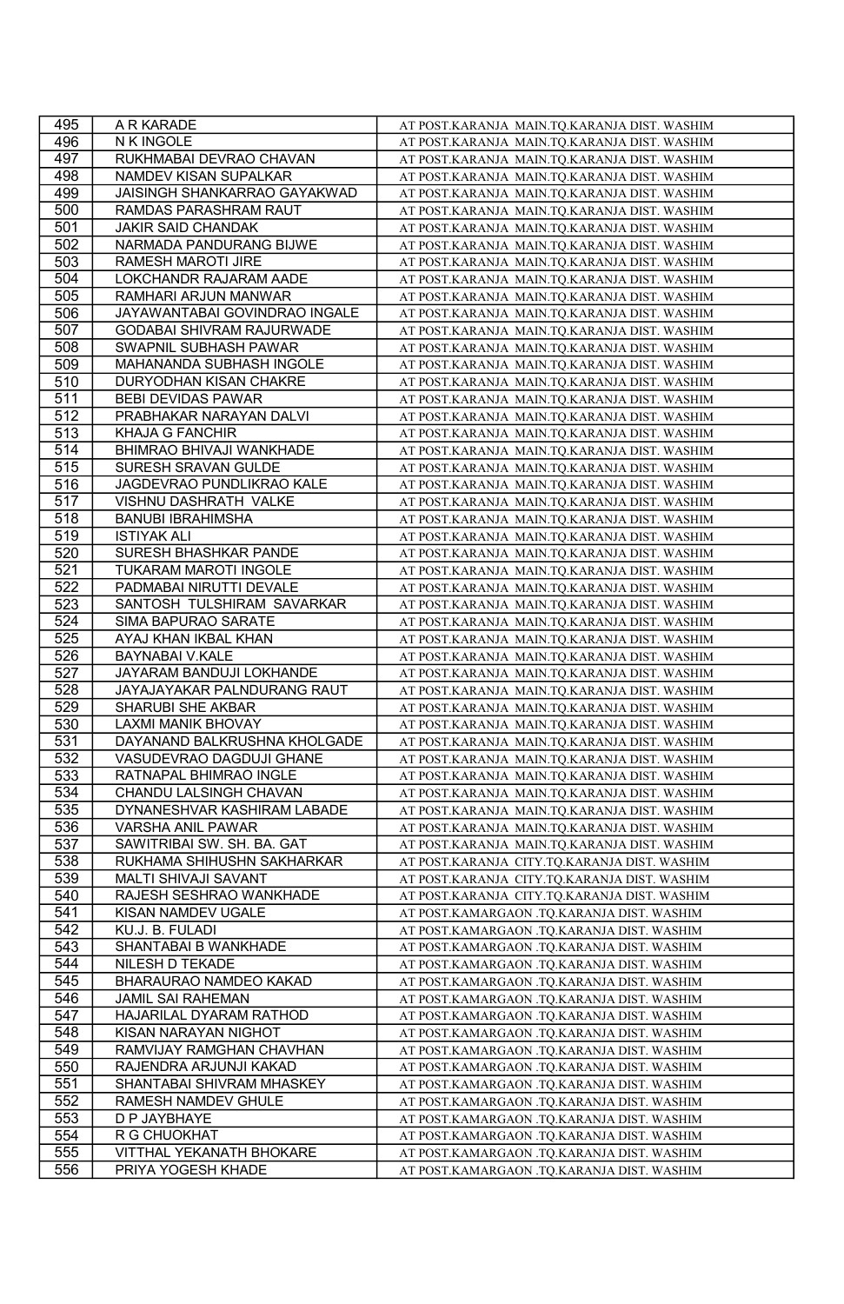| 495        | A R KARADE                                       | AT POST.KARANJA MAIN.TQ.KARANJA DIST. WASHIM                                                 |
|------------|--------------------------------------------------|----------------------------------------------------------------------------------------------|
| 496        | N K INGOLE                                       | AT POST.KARANJA MAIN.TQ.KARANJA DIST. WASHIM                                                 |
| 497        | RUKHMABAI DEVRAO CHAVAN                          | AT POST.KARANJA MAIN.TQ.KARANJA DIST. WASHIM                                                 |
| 498        | NAMDEV KISAN SUPALKAR                            | AT POST.KARANJA MAIN.TQ.KARANJA DIST. WASHIM                                                 |
| 499        | JAISINGH SHANKARRAO GAYAKWAD                     | AT POST.KARANJA MAIN.TQ.KARANJA DIST. WASHIM                                                 |
| 500        | RAMDAS PARASHRAM RAUT                            | AT POST.KARANJA MAIN.TQ.KARANJA DIST. WASHIM                                                 |
| 501        | <b>JAKIR SAID CHANDAK</b>                        | AT POST.KARANJA MAIN.TQ.KARANJA DIST. WASHIM                                                 |
| 502        | NARMADA PANDURANG BIJWE                          | AT POST.KARANJA MAIN.TQ.KARANJA DIST. WASHIM                                                 |
| 503        | RAMESH MAROTI JIRE                               | AT POST.KARANJA MAIN.TQ.KARANJA DIST. WASHIM                                                 |
| 504        | LOKCHANDR RAJARAM AADE                           | AT POST.KARANJA MAIN.TQ.KARANJA DIST. WASHIM                                                 |
| 505        | RAMHARI ARJUN MANWAR                             | AT POST.KARANJA MAIN.TQ.KARANJA DIST. WASHIM                                                 |
| 506        | JAYAWANTABAI GOVINDRAO INGALE                    | AT POST.KARANJA MAIN.TQ.KARANJA DIST. WASHIM                                                 |
| 507        | <b>GODABAI SHIVRAM RAJURWADE</b>                 | AT POST.KARANJA MAIN.TQ.KARANJA DIST. WASHIM                                                 |
| 508        | SWAPNIL SUBHASH PAWAR                            | AT POST.KARANJA MAIN.TQ.KARANJA DIST. WASHIM                                                 |
| 509        | MAHANANDA SUBHASH INGOLE                         | AT POST.KARANJA MAIN.TQ.KARANJA DIST. WASHIM                                                 |
| 510        | DURYODHAN KISAN CHAKRE                           | AT POST.KARANJA MAIN.TQ.KARANJA DIST. WASHIM                                                 |
| 511        | BEBI DEVIDAS PAWAR                               | AT POST.KARANJA MAIN.TQ.KARANJA DIST. WASHIM                                                 |
| 512        | PRABHAKAR NARAYAN DALVI                          | AT POST.KARANJA MAIN.TQ.KARANJA DIST. WASHIM                                                 |
| 513        | KHAJA G FANCHIR                                  | AT POST.KARANJA MAIN.TQ.KARANJA DIST. WASHIM                                                 |
| 514        | BHIMRAO BHIVAJI WANKHADE                         | AT POST.KARANJA MAIN.TQ.KARANJA DIST. WASHIM                                                 |
| 515        | SURESH SRAVAN GULDE                              | AT POST.KARANJA MAIN.TQ.KARANJA DIST. WASHIM                                                 |
| 516        | JAGDEVRAO PUNDLIKRAO KALE                        | AT POST.KARANJA MAIN.TQ.KARANJA DIST. WASHIM                                                 |
| 517        | VISHNU DASHRATH VALKE                            | AT POST.KARANJA MAIN.TQ.KARANJA DIST. WASHIM                                                 |
| 518        | <b>BANUBI IBRAHIMSHA</b>                         | AT POST.KARANJA MAIN.TQ.KARANJA DIST. WASHIM                                                 |
| 519        | <b>ISTIYAK ALI</b>                               | AT POST.KARANJA MAIN.TQ.KARANJA DIST. WASHIM                                                 |
| 520        | SURESH BHASHKAR PANDE                            | AT POST.KARANJA MAIN.TQ.KARANJA DIST. WASHIM                                                 |
| 521        | TUKARAM MAROTI INGOLE                            |                                                                                              |
| 522        | PADMABAI NIRUTTI DEVALE                          | AT POST.KARANJA MAIN.TQ.KARANJA DIST. WASHIM                                                 |
| 523        |                                                  | AT POST.KARANJA MAIN.TQ.KARANJA DIST. WASHIM                                                 |
|            | SANTOSH TULSHIRAM SAVARKAR                       | AT POST.KARANJA MAIN.TQ.KARANJA DIST. WASHIM                                                 |
| 524<br>525 | SIMA BAPURAO SARATE<br>AYAJ KHAN IKBAL KHAN      | AT POST.KARANJA MAIN.TQ.KARANJA DIST. WASHIM<br>AT POST.KARANJA MAIN.TQ.KARANJA DIST. WASHIM |
| 526        |                                                  |                                                                                              |
| 527        | BAYNABAI V.KALE<br>JAYARAM BANDUJI LOKHANDE      | AT POST.KARANJA MAIN.TQ.KARANJA DIST. WASHIM<br>AT POST.KARANJA MAIN.TQ.KARANJA DIST. WASHIM |
|            |                                                  |                                                                                              |
| 528        | JAYAJAYAKAR PALNDURANG RAUT                      | AT POST.KARANJA MAIN.TQ.KARANJA DIST. WASHIM                                                 |
| 529        | SHARUBI SHE AKBAR<br><b>LAXMI MANIK BHOVAY</b>   | AT POST.KARANJA MAIN.TQ.KARANJA DIST. WASHIM                                                 |
| 530        |                                                  | AT POST.KARANJA MAIN.TQ.KARANJA DIST. WASHIM                                                 |
| 531        | DAYANAND BALKRUSHNA KHOLGADE                     | AT POST.KARANJA MAIN.TQ.KARANJA DIST. WASHIM                                                 |
| 532        | VASUDEVRAO DAGDUJI GHANE                         | AT POST.KARANJA MAIN.TQ.KARANJA DIST. WASHIM                                                 |
| 533        | RATNAPAL BHIMRAO INGLE                           | AT POST.KARANJA MAIN.TQ.KARANJA DIST. WASHIM                                                 |
| 534        | CHANDU LALSINGH CHAVAN                           | AT POST.KARANJA MAIN.TQ.KARANJA DIST. WASHIM                                                 |
| 535        | DYNANESHVAR KASHIRAM LABADE<br>VARSHA ANIL PAWAR | AT POST.KARANJA MAIN.TQ.KARANJA DIST. WASHIM                                                 |
| 536        |                                                  | AT POST.KARANJA MAIN.TQ.KARANJA DIST. WASHIM                                                 |
| 537        | SAWITRIBAI SW. SH. BA. GAT                       | AT POST.KARANJA MAIN.TQ.KARANJA DIST. WASHIM                                                 |
| 538        | RUKHAMA SHIHUSHN SAKHARKAR                       | AT POST.KARANJA CITY.TQ.KARANJA DIST. WASHIM                                                 |
| 539        | MALTI SHIVAJI SAVANT                             | AT POST.KARANJA CITY.TQ.KARANJA DIST. WASHIM                                                 |
| 540        | RAJESH SESHRAO WANKHADE                          | AT POST.KARANJA CITY.TQ.KARANJA DIST. WASHIM                                                 |
| 541        | KISAN NAMDEV UGALE                               | AT POST.KAMARGAON .TQ.KARANJA DIST. WASHIM                                                   |
| 542        | KU.J. B. FULADI<br>SHANTABAI B WANKHADE          | AT POST.KAMARGAON .TQ.KARANJA DIST. WASHIM<br>AT POST.KAMARGAON .TQ.KARANJA DIST. WASHIM     |
| 543        |                                                  |                                                                                              |
| 544        |                                                  |                                                                                              |
|            | NILESH D TEKADE                                  | AT POST.KAMARGAON .TQ.KARANJA DIST. WASHIM                                                   |
| 545        | BHARAURAO NAMDEO KAKAD                           | AT POST.KAMARGAON .TQ.KARANJA DIST. WASHIM                                                   |
| 546        | <b>JAMIL SAI RAHEMAN</b>                         | AT POST.KAMARGAON .TQ.KARANJA DIST. WASHIM                                                   |
| 547        | HAJARILAL DYARAM RATHOD                          | AT POST.KAMARGAON .TQ.KARANJA DIST. WASHIM                                                   |
| 548        | KISAN NARAYAN NIGHOT                             | AT POST.KAMARGAON .TQ.KARANJA DIST. WASHIM                                                   |
| 549        | RAMVIJAY RAMGHAN CHAVHAN                         | AT POST.KAMARGAON .TQ.KARANJA DIST. WASHIM                                                   |
| 550        | RAJENDRA ARJUNJI KAKAD                           | AT POST.KAMARGAON .TQ.KARANJA DIST. WASHIM                                                   |
| 551        | SHANTABAI SHIVRAM MHASKEY                        | AT POST.KAMARGAON .TQ.KARANJA DIST. WASHIM                                                   |
| 552        | RAMESH NAMDEV GHULE                              | AT POST.KAMARGAON .TQ.KARANJA DIST. WASHIM                                                   |
| 553        | D P JAYBHAYE                                     | AT POST.KAMARGAON .TQ.KARANJA DIST. WASHIM                                                   |
| 554        | R G CHUOKHAT                                     | AT POST.KAMARGAON .TQ.KARANJA DIST. WASHIM                                                   |
| 555<br>556 | VITTHAL YEKANATH BHOKARE<br>PRIYA YOGESH KHADE   | AT POST.KAMARGAON .TQ.KARANJA DIST. WASHIM<br>AT POST.KAMARGAON .TQ.KARANJA DIST. WASHIM     |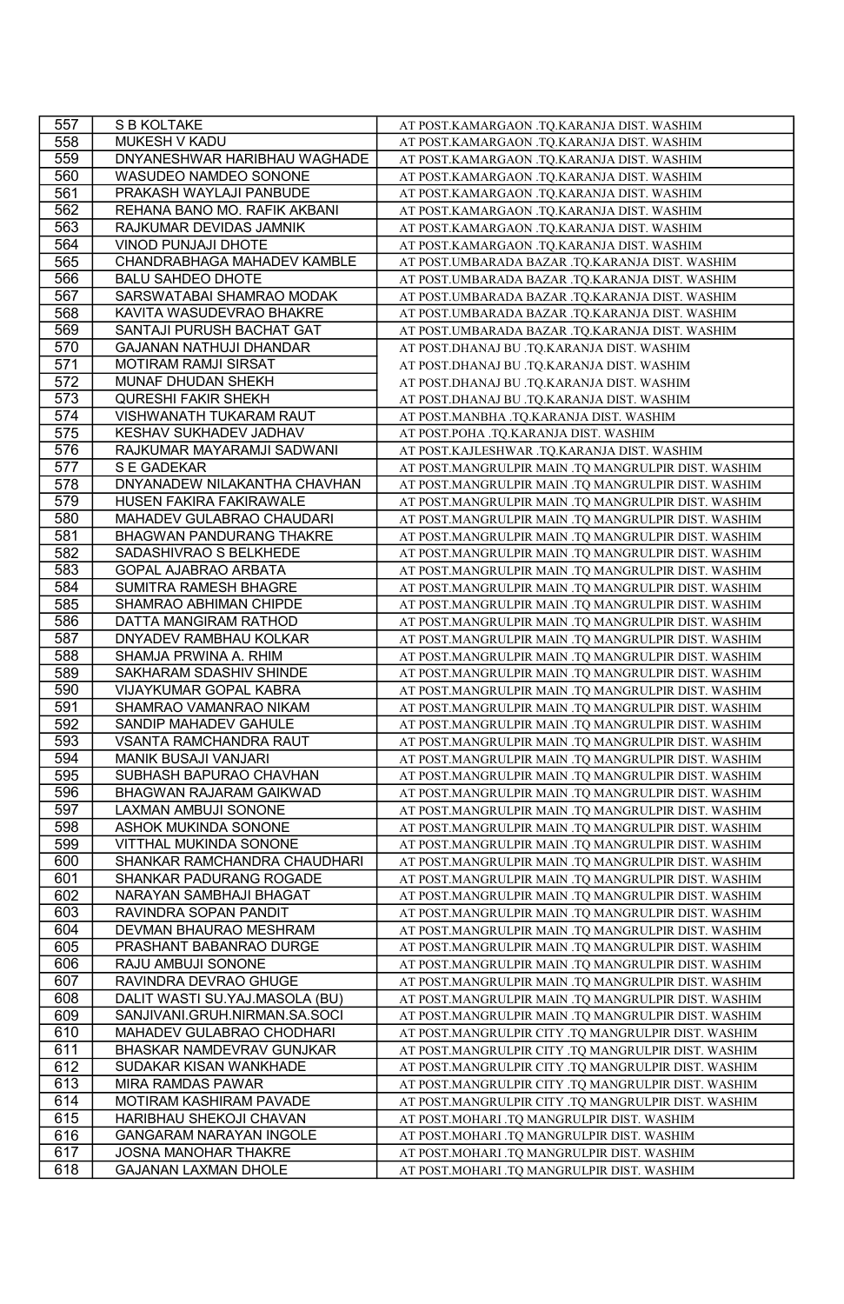| 557 | S B KOLTAKE                    | AT POST.KAMARGAON .TQ.KARANJA DIST. WASHIM          |
|-----|--------------------------------|-----------------------------------------------------|
| 558 | MUKESH V KADU                  | AT POST.KAMARGAON .TQ.KARANJA DIST. WASHIM          |
| 559 | DNYANESHWAR HARIBHAU WAGHADE   | AT POST.KAMARGAON .TQ.KARANJA DIST. WASHIM          |
| 560 | WASUDEO NAMDEO SONONE          | AT POST.KAMARGAON .TQ.KARANJA DIST. WASHIM          |
| 561 | PRAKASH WAYLAJI PANBUDE        | AT POST.KAMARGAON .TQ.KARANJA DIST. WASHIM          |
| 562 | REHANA BANO MO. RAFIK AKBANI   | AT POST.KAMARGAON .TQ.KARANJA DIST. WASHIM          |
| 563 | RAJKUMAR DEVIDAS JAMNIK        | AT POST.KAMARGAON .TQ.KARANJA DIST. WASHIM          |
| 564 | VINOD PUNJAJI DHOTE            | AT POST.KAMARGAON .TQ.KARANJA DIST. WASHIM          |
| 565 | CHANDRABHAGA MAHADEV KAMBLE    | AT POST.UMBARADA BAZAR .TQ.KARANJA DIST. WASHIM     |
| 566 | <b>BALU SAHDEO DHOTE</b>       | AT POST.UMBARADA BAZAR .TQ.KARANJA DIST. WASHIM     |
| 567 | SARSWATABAI SHAMRAO MODAK      | AT POST.UMBARADA BAZAR .TQ.KARANJA DIST. WASHIM     |
| 568 | KAVITA WASUDEVRAO BHAKRE       | AT POST.UMBARADA BAZAR .TQ.KARANJA DIST. WASHIM     |
| 569 | SANTAJI PURUSH BACHAT GAT      | AT POST.UMBARADA BAZAR .TQ.KARANJA DIST. WASHIM     |
| 570 | GAJANAN NATHUJI DHANDAR        | AT POST.DHANAJ BU .TQ.KARANJA DIST. WASHIM          |
| 571 | MOTIRAM RAMJI SIRSAT           | AT POST.DHANAJ BU .TQ.KARANJA DIST. WASHIM          |
| 572 | MUNAF DHUDAN SHEKH             | AT POST.DHANAJ BU .TQ.KARANJA DIST. WASHIM          |
| 573 | <b>QURESHI FAKIR SHEKH</b>     | AT POST.DHANAJ BU .TQ.KARANJA DIST. WASHIM          |
| 574 | VISHWANATH TUKARAM RAUT        | AT POST.MANBHA .TQ.KARANJA DIST. WASHIM             |
| 575 | KESHAV SUKHADEV JADHAV         | AT POST.POHA .TQ.KARANJA DIST. WASHIM               |
| 576 | RAJKUMAR MAYARAMJI SADWANI     | AT POST.KAJLESHWAR .TQ.KARANJA DIST. WASHIM         |
| 577 | S E GADEKAR                    | AT POST.MANGRULPIR MAIN .TQ MANGRULPIR DIST. WASHIM |
| 578 | DNYANADEW NILAKANTHA CHAVHAN   | AT POST.MANGRULPIR MAIN .TQ MANGRULPIR DIST. WASHIM |
| 579 | HUSEN FAKIRA FAKIRAWALE        | AT POST.MANGRULPIR MAIN .TQ MANGRULPIR DIST. WASHIM |
| 580 | MAHADEV GULABRAO CHAUDARI      | AT POST.MANGRULPIR MAIN .TQ MANGRULPIR DIST. WASHIM |
| 581 | BHAGWAN PANDURANG THAKRE       | AT POST.MANGRULPIR MAIN .TQ MANGRULPIR DIST. WASHIM |
| 582 | SADASHIVRAO S BELKHEDE         | AT POST.MANGRULPIR MAIN .TQ MANGRULPIR DIST. WASHIM |
| 583 | GOPAL AJABRAO ARBATA           | AT POST.MANGRULPIR MAIN .TQ MANGRULPIR DIST. WASHIM |
| 584 | SUMITRA RAMESH BHAGRE          |                                                     |
|     |                                | AT POST.MANGRULPIR MAIN .TQ MANGRULPIR DIST. WASHIM |
| 585 | SHAMRAO ABHIMAN CHIPDE         | AT POST.MANGRULPIR MAIN .TQ MANGRULPIR DIST. WASHIM |
| 586 | DATTA MANGIRAM RATHOD          | AT POST.MANGRULPIR MAIN .TQ MANGRULPIR DIST. WASHIM |
| 587 | DNYADEV RAMBHAU KOLKAR         | AT POST.MANGRULPIR MAIN .TQ MANGRULPIR DIST. WASHIM |
| 588 | SHAMJA PRWINA A. RHIM          | AT POST.MANGRULPIR MAIN .TQ MANGRULPIR DIST. WASHIM |
| 589 | SAKHARAM SDASHIV SHINDE        | AT POST.MANGRULPIR MAIN .TQ MANGRULPIR DIST. WASHIM |
| 590 | VIJAYKUMAR GOPAL KABRA         | AT POST.MANGRULPIR MAIN .TQ MANGRULPIR DIST. WASHIM |
| 591 | SHAMRAO VAMANRAO NIKAM         | AT POST.MANGRULPIR MAIN .TQ MANGRULPIR DIST. WASHIM |
| 592 | SANDIP MAHADEV GAHULE          | AT POST.MANGRULPIR MAIN .TQ MANGRULPIR DIST. WASHIM |
| 593 | VSANTA RAMCHANDRA RAUT         | AT POST.MANGRULPIR MAIN .TQ MANGRULPIR DIST. WASHIM |
| 594 | <b>MANIK BUSAJI VANJARI</b>    | AT POST.MANGRULPIR MAIN .TQ MANGRULPIR DIST. WASHIM |
| 595 | SUBHASH BAPURAO CHAVHAN        | AT POST.MANGRULPIR MAIN .TQ MANGRULPIR DIST. WASHIM |
| 596 | BHAGWAN RAJARAM GAIKWAD        | AT POST.MANGRULPIR MAIN .TQ MANGRULPIR DIST. WASHIM |
| 597 | LAXMAN AMBUJI SONONE           | AT POST.MANGRULPIR MAIN .TQ MANGRULPIR DIST. WASHIM |
| 598 | ASHOK MUKINDA SONONE           | AT POST.MANGRULPIR MAIN .TQ MANGRULPIR DIST. WASHIM |
| 599 | <b>VITTHAL MUKINDA SONONE</b>  | AT POST.MANGRULPIR MAIN .TQ MANGRULPIR DIST. WASHIM |
| 600 | SHANKAR RAMCHANDRA CHAUDHARI   | AT POST.MANGRULPIR MAIN .TQ MANGRULPIR DIST. WASHIM |
| 601 | SHANKAR PADURANG ROGADE        | AT POST.MANGRULPIR MAIN .TO MANGRULPIR DIST. WASHIM |
| 602 | NARAYAN SAMBHAJI BHAGAT        | AT POST.MANGRULPIR MAIN .TQ MANGRULPIR DIST. WASHIM |
| 603 | RAVINDRA SOPAN PANDIT          | AT POST.MANGRULPIR MAIN .TQ MANGRULPIR DIST. WASHIM |
| 604 | DEVMAN BHAURAO MESHRAM         | AT POST.MANGRULPIR MAIN .TQ MANGRULPIR DIST. WASHIM |
| 605 | PRASHANT BABANRAO DURGE        | AT POST.MANGRULPIR MAIN .TQ MANGRULPIR DIST. WASHIM |
| 606 | RAJU AMBUJI SONONE             | AT POST.MANGRULPIR MAIN .TQ MANGRULPIR DIST. WASHIM |
| 607 | RAVINDRA DEVRAO GHUGE          | AT POST.MANGRULPIR MAIN .TQ MANGRULPIR DIST. WASHIM |
| 608 | DALIT WASTI SU.YAJ.MASOLA (BU) | AT POST.MANGRULPIR MAIN .TQ MANGRULPIR DIST. WASHIM |
| 609 | SANJIVANI.GRUH.NIRMAN.SA.SOCI  | AT POST.MANGRULPIR MAIN .TQ MANGRULPIR DIST. WASHIM |
| 610 | MAHADEV GULABRAO CHODHARI      | AT POST.MANGRULPIR CITY .TQ MANGRULPIR DIST. WASHIM |
| 611 | BHASKAR NAMDEVRAV GUNJKAR      | AT POST.MANGRULPIR CITY .TQ MANGRULPIR DIST. WASHIM |
| 612 | SUDAKAR KISAN WANKHADE         | AT POST.MANGRULPIR CITY .TQ MANGRULPIR DIST. WASHIM |
| 613 | MIRA RAMDAS PAWAR              | AT POST.MANGRULPIR CITY .TQ MANGRULPIR DIST. WASHIM |
| 614 | MOTIRAM KASHIRAM PAVADE        | AT POST.MANGRULPIR CITY .TQ MANGRULPIR DIST. WASHIM |
| 615 | HARIBHAU SHEKOJI CHAVAN        | AT POST.MOHARI .TQ MANGRULPIR DIST. WASHIM          |
| 616 | GANGARAM NARAYAN INGOLE        | AT POST.MOHARI.TQ MANGRULPIR DIST. WASHIM           |
| 617 | JOSNA MANOHAR THAKRE           | AT POST.MOHARI .TQ MANGRULPIR DIST. WASHIM          |
| 618 | <b>GAJANAN LAXMAN DHOLE</b>    | AT POST.MOHARI .TQ MANGRULPIR DIST. WASHIM          |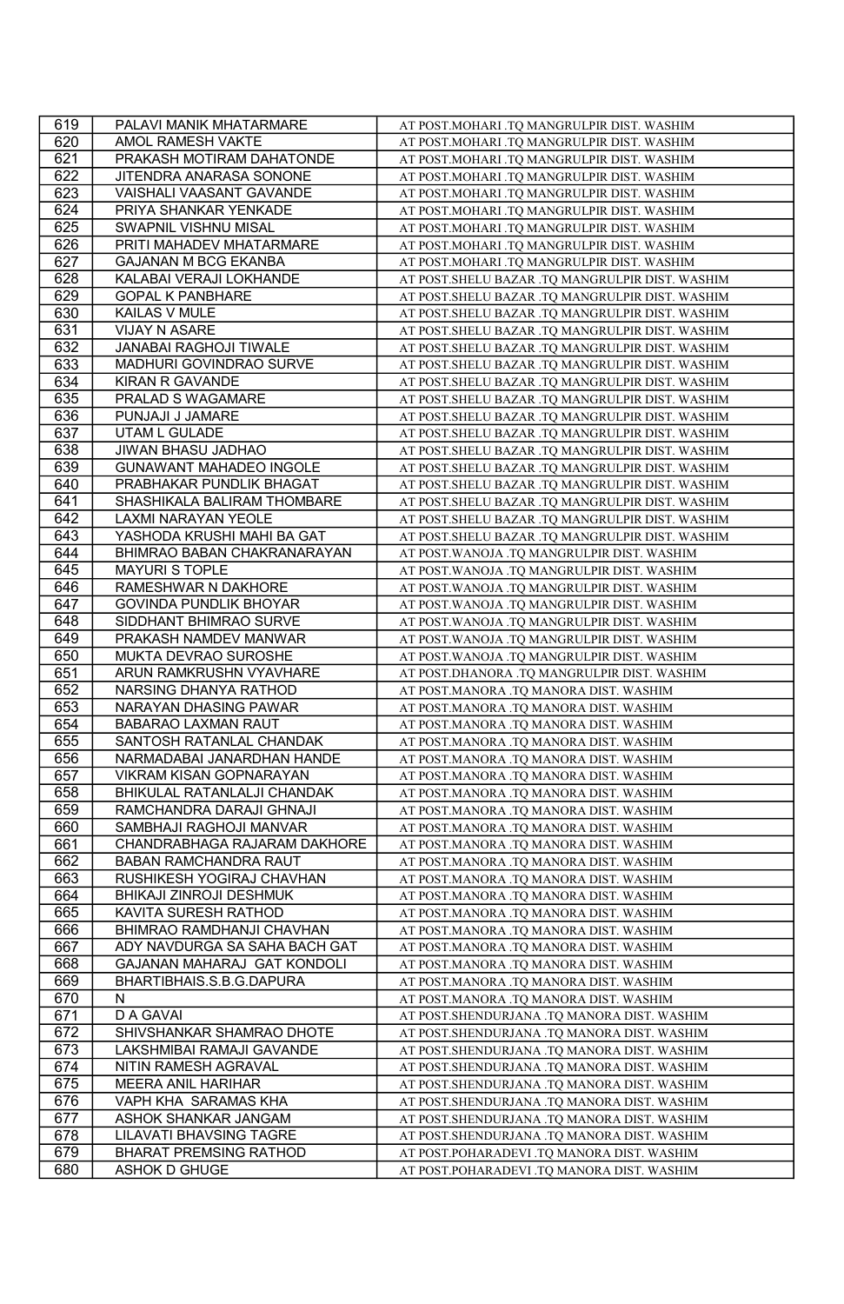| 619 | PALAVI MANIK MHATARMARE                               | AT POST.MOHARI .TQ MANGRULPIR DIST. WASHIM       |
|-----|-------------------------------------------------------|--------------------------------------------------|
| 620 | AMOL RAMESH VAKTE                                     | AT POST.MOHARI .TQ MANGRULPIR DIST. WASHIM       |
| 621 | PRAKASH MOTIRAM DAHATONDE                             | AT POST.MOHARI .TQ MANGRULPIR DIST. WASHIM       |
| 622 | JITENDRA ANARASA SONONE                               | AT POST.MOHARI .TQ MANGRULPIR DIST. WASHIM       |
| 623 | VAISHALI VAASANT GAVANDE                              | AT POST.MOHARI .TQ MANGRULPIR DIST. WASHIM       |
| 624 | PRIYA SHANKAR YENKADE                                 | AT POST.MOHARI .TQ MANGRULPIR DIST. WASHIM       |
| 625 | SWAPNIL VISHNU MISAL                                  | AT POST.MOHARI .TQ MANGRULPIR DIST. WASHIM       |
| 626 | PRITI MAHADEV MHATARMARE                              | AT POST.MOHARI .TQ MANGRULPIR DIST. WASHIM       |
| 627 | <b>GAJANAN M BCG EKANBA</b>                           | AT POST.MOHARI .TQ MANGRULPIR DIST. WASHIM       |
| 628 | KALABAI VERAJI LOKHANDE                               | AT POST. SHELU BAZAR .TQ MANGRULPIR DIST. WASHIM |
| 629 | <b>GOPAL K PANBHARE</b>                               | AT POST.SHELU BAZAR .TQ MANGRULPIR DIST. WASHIM  |
| 630 | KAILAS V MULE                                         | AT POST.SHELU BAZAR .TQ MANGRULPIR DIST. WASHIM  |
| 631 | <b>VIJAY N ASARE</b>                                  | AT POST.SHELU BAZAR .TQ MANGRULPIR DIST. WASHIM  |
| 632 | JANABAI RAGHOJI TIWALE                                | AT POST.SHELU BAZAR .TQ MANGRULPIR DIST. WASHIM  |
| 633 | MADHURI GOVINDRAO SURVE                               | AT POST. SHELU BAZAR .TQ MANGRULPIR DIST. WASHIM |
| 634 | KIRAN R GAVANDE                                       | AT POST.SHELU BAZAR .TQ MANGRULPIR DIST. WASHIM  |
| 635 | PRALAD S WAGAMARE                                     | AT POST.SHELU BAZAR .TQ MANGRULPIR DIST. WASHIM  |
| 636 | PUNJAJI J JAMARE                                      | AT POST.SHELU BAZAR .TQ MANGRULPIR DIST. WASHIM  |
| 637 | <b>UTAM L GULADE</b>                                  | AT POST.SHELU BAZAR .TQ MANGRULPIR DIST. WASHIM  |
| 638 | JIWAN BHASU JADHAO                                    | AT POST.SHELU BAZAR .TQ MANGRULPIR DIST. WASHIM  |
| 639 | GUNAWANT MAHADEO INGOLE                               | AT POST.SHELU BAZAR .TQ MANGRULPIR DIST. WASHIM  |
| 640 | PRABHAKAR PUNDLIK BHAGAT                              | AT POST.SHELU BAZAR .TQ MANGRULPIR DIST. WASHIM  |
| 641 | SHASHIKALA BALIRAM THOMBARE                           | AT POST.SHELU BAZAR .TQ MANGRULPIR DIST. WASHIM  |
| 642 | LAXMI NARAYAN YEOLE                                   | AT POST.SHELU BAZAR .TQ MANGRULPIR DIST. WASHIM  |
| 643 | YASHODA KRUSHI MAHI BA GAT                            | AT POST.SHELU BAZAR .TQ MANGRULPIR DIST. WASHIM  |
| 644 | BHIMRAO BABAN CHAKRANARAYAN                           | AT POST. WANOJA .TQ MANGRULPIR DIST. WASHIM      |
| 645 | MAYURI S TOPLE                                        | AT POST. WANOJA .TQ MANGRULPIR DIST. WASHIM      |
| 646 | RAMESHWAR N DAKHORE                                   | AT POST. WANOJA .TQ MANGRULPIR DIST. WASHIM      |
| 647 | <b>GOVINDA PUNDLIK BHOYAR</b>                         | AT POST. WANOJA .TQ MANGRULPIR DIST. WASHIM      |
| 648 | SIDDHANT BHIMRAO SURVE                                | AT POST. WANOJA .TQ MANGRULPIR DIST. WASHIM      |
| 649 | PRAKASH NAMDEV MANWAR                                 | AT POST. WANOJA .TQ MANGRULPIR DIST. WASHIM      |
| 650 | MUKTA DEVRAO SUROSHE                                  | AT POST. WANOJA .TQ MANGRULPIR DIST. WASHIM      |
| 651 | ARUN RAMKRUSHN VYAVHARE                               | AT POST.DHANORA .TQ MANGRULPIR DIST. WASHIM      |
| 652 | NARSING DHANYA RATHOD                                 | AT POST.MANORA .TQ MANORA DIST. WASHIM           |
| 653 | NARAYAN DHASING PAWAR                                 | AT POST.MANORA .TQ MANORA DIST. WASHIM           |
| 654 | <b>BABARAO LAXMAN RAUT</b>                            | AT POST.MANORA .TQ MANORA DIST. WASHIM           |
| 655 | SANTOSH RATANLAL CHANDAK                              | AT POST.MANORA .TQ MANORA DIST. WASHIM           |
| 656 | NARMADABAI JANARDHAN HANDE                            | AT POST.MANORA .TQ MANORA DIST. WASHIM           |
| 657 | <b>VIKRAM KISAN GOPNARAYAN</b>                        | AT POST.MANORA .TQ MANORA DIST. WASHIM           |
| 658 | BHIKULAL RATANLALJI CHANDAK                           | AT POST.MANORA .TQ MANORA DIST. WASHIM           |
| 659 | RAMCHANDRA DARAJI GHNAJI                              | AT POST.MANORA .TQ MANORA DIST. WASHIM           |
| 660 | SAMBHAJI RAGHOJI MANVAR                               | AT POST.MANORA .TQ MANORA DIST. WASHIM           |
| 661 | CHANDRABHAGA RAJARAM DAKHORE                          | AT POST.MANORA .TQ MANORA DIST. WASHIM           |
| 662 | BABAN RAMCHANDRA RAUT                                 | AT POST.MANORA .TQ MANORA DIST. WASHIM           |
| 663 | RUSHIKESH YOGIRAJ CHAVHAN                             | AT POST.MANORA .TQ MANORA DIST. WASHIM           |
| 664 | BHIKAJI ZINROJI DESHMUK                               | AT POST.MANORA .TQ MANORA DIST. WASHIM           |
| 665 | KAVITA SURESH RATHOD                                  | AT POST.MANORA .TQ MANORA DIST. WASHIM           |
| 666 | BHIMRAO RAMDHANJI CHAVHAN                             | AT POST.MANORA .TQ MANORA DIST. WASHIM           |
| 667 | ADY NAVDURGA SA SAHA BACH GAT                         | AT POST.MANORA .TQ MANORA DIST. WASHIM           |
| 668 | GAJANAN MAHARAJ GAT KONDOLI                           | AT POST.MANORA .TQ MANORA DIST. WASHIM           |
| 669 | BHARTIBHAIS.S.B.G.DAPURA                              | AT POST.MANORA .TQ MANORA DIST. WASHIM           |
| 670 | N                                                     | AT POST.MANORA .TQ MANORA DIST. WASHIM           |
| 671 | D A GAVAI                                             | AT POST.SHENDURJANA .TQ MANORA DIST. WASHIM      |
| 672 | SHIVSHANKAR SHAMRAO DHOTE                             | AT POST.SHENDURJANA .TQ MANORA DIST. WASHIM      |
| 673 | LAKSHMIBAI RAMAJI GAVANDE                             | AT POST.SHENDURJANA .TQ MANORA DIST. WASHIM      |
| 674 | NITIN RAMESH AGRAVAL                                  | AT POST.SHENDURJANA .TQ MANORA DIST. WASHIM      |
| 675 | MEERA ANIL HARIHAR                                    | AT POST.SHENDURJANA .TQ MANORA DIST. WASHIM      |
| 676 | VAPH KHA SARAMAS KHA                                  | AT POST.SHENDURJANA .TQ MANORA DIST. WASHIM      |
| 677 | ASHOK SHANKAR JANGAM                                  | AT POST.SHENDURJANA .TQ MANORA DIST. WASHIM      |
| 678 | LILAVATI BHAVSING TAGRE                               | AT POST.SHENDURJANA .TQ MANORA DIST. WASHIM      |
| 679 |                                                       | AT POST.POHARADEVI .TQ MANORA DIST. WASHIM       |
| 680 | <b>BHARAT PREMSING RATHOD</b><br><b>ASHOK D GHUGE</b> |                                                  |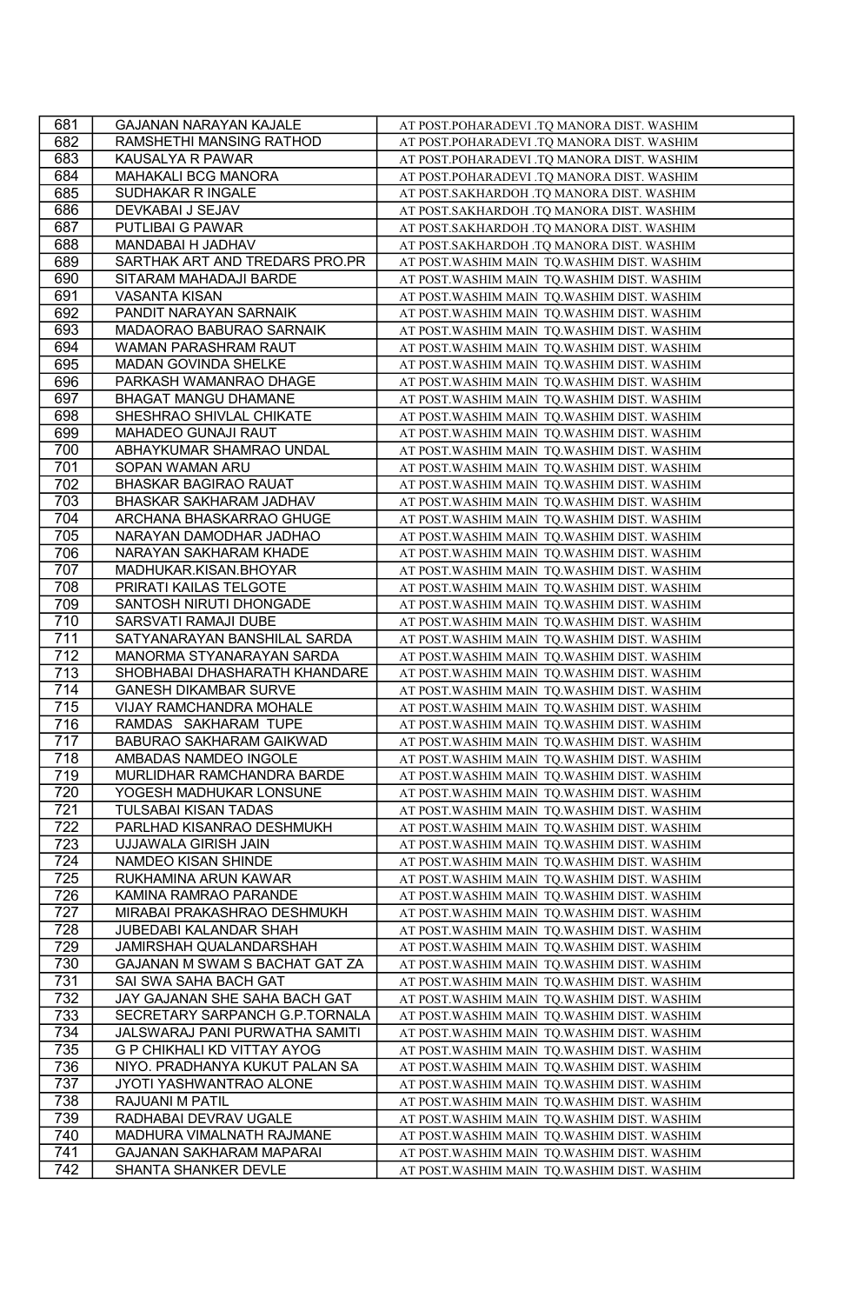| 681 | GAJANAN NARAYAN KAJALE         | AT POST.POHARADEVI .TQ MANORA DIST. WASHIM   |
|-----|--------------------------------|----------------------------------------------|
| 682 | RAMSHETHI MANSING RATHOD       | AT POST.POHARADEVI .TQ MANORA DIST. WASHIM   |
| 683 | KAUSALYA R PAWAR               | AT POST.POHARADEVI .TQ MANORA DIST. WASHIM   |
| 684 | MAHAKALI BCG MANORA            | AT POST.POHARADEVI .TQ MANORA DIST. WASHIM   |
| 685 | SUDHAKAR R INGALE              | AT POST.SAKHARDOH .TQ MANORA DIST. WASHIM    |
| 686 | DEVKABAI J SEJAV               | AT POST.SAKHARDOH .TQ MANORA DIST. WASHIM    |
| 687 | <b>PUTLIBAI G PAWAR</b>        | AT POST.SAKHARDOH .TQ MANORA DIST. WASHIM    |
| 688 | MANDABAI H JADHAV              | AT POST.SAKHARDOH .TQ MANORA DIST. WASHIM    |
| 689 | SARTHAK ART AND TREDARS PRO.PR | AT POST. WASHIM MAIN TQ. WASHIM DIST. WASHIM |
| 690 | SITARAM MAHADAJI BARDE         | AT POST. WASHIM MAIN TQ. WASHIM DIST. WASHIM |
| 691 | <b>VASANTA KISAN</b>           | AT POST. WASHIM MAIN TQ. WASHIM DIST. WASHIM |
| 692 | PANDIT NARAYAN SARNAIK         | AT POST. WASHIM MAIN TQ. WASHIM DIST. WASHIM |
| 693 | MADAORAO BABURAO SARNAIK       | AT POST. WASHIM MAIN TQ. WASHIM DIST. WASHIM |
| 694 | WAMAN PARASHRAM RAUT           | AT POST. WASHIM MAIN TQ. WASHIM DIST. WASHIM |
| 695 | MADAN GOVINDA SHELKE           | AT POST. WASHIM MAIN TQ. WASHIM DIST. WASHIM |
| 696 | PARKASH WAMANRAO DHAGE         | AT POST. WASHIM MAIN TQ. WASHIM DIST. WASHIM |
| 697 | BHAGAT MANGU DHAMANE           | AT POST. WASHIM MAIN TQ. WASHIM DIST. WASHIM |
| 698 | SHESHRAO SHIVLAL CHIKATE       | AT POST. WASHIM MAIN TQ. WASHIM DIST. WASHIM |
| 699 | MAHADEO GUNAJI RAUT            | AT POST. WASHIM MAIN TQ. WASHIM DIST. WASHIM |
| 700 | ABHAYKUMAR SHAMRAO UNDAL       | AT POST. WASHIM MAIN TQ. WASHIM DIST. WASHIM |
| 701 | SOPAN WAMAN ARU                | AT POST. WASHIM MAIN TQ. WASHIM DIST. WASHIM |
| 702 | <b>BHASKAR BAGIRAO RAUAT</b>   | AT POST. WASHIM MAIN TQ. WASHIM DIST. WASHIM |
| 703 | BHASKAR SAKHARAM JADHAV        | AT POST. WASHIM MAIN TQ. WASHIM DIST. WASHIM |
| 704 | ARCHANA BHASKARRAO GHUGE       | AT POST. WASHIM MAIN TQ. WASHIM DIST. WASHIM |
| 705 | NARAYAN DAMODHAR JADHAO        | AT POST. WASHIM MAIN TQ. WASHIM DIST. WASHIM |
| 706 | NARAYAN SAKHARAM KHADE         | AT POST. WASHIM MAIN TQ. WASHIM DIST. WASHIM |
| 707 | MADHUKAR.KISAN.BHOYAR          | AT POST. WASHIM MAIN TQ. WASHIM DIST. WASHIM |
| 708 | PRIRATI KAILAS TELGOTE         | AT POST. WASHIM MAIN TQ. WASHIM DIST. WASHIM |
| 709 | SANTOSH NIRUTI DHONGADE        | AT POST. WASHIM MAIN TQ. WASHIM DIST. WASHIM |
| 710 | SARSVATI RAMAJI DUBE           | AT POST. WASHIM MAIN TQ. WASHIM DIST. WASHIM |
| 711 | SATYANARAYAN BANSHILAL SARDA   | AT POST. WASHIM MAIN TQ. WASHIM DIST. WASHIM |
| 712 | MANORMA STYANARAYAN SARDA      | AT POST. WASHIM MAIN TQ. WASHIM DIST. WASHIM |
| 713 | SHOBHABAI DHASHARATH KHANDARE  | AT POST. WASHIM MAIN TQ. WASHIM DIST. WASHIM |
| 714 | <b>GANESH DIKAMBAR SURVE</b>   | AT POST. WASHIM MAIN TQ. WASHIM DIST. WASHIM |
| 715 | VIJAY RAMCHANDRA MOHALE        | AT POST. WASHIM MAIN TQ. WASHIM DIST. WASHIM |
| 716 | RAMDAS SAKHARAM TUPE           | AT POST. WASHIM MAIN TQ. WASHIM DIST. WASHIM |
| 717 | BABURAO SAKHARAM GAIKWAD       | AT POST. WASHIM MAIN TQ. WASHIM DIST. WASHIM |
| 718 | AMBADAS NAMDEO INGOLE          | AT POST. WASHIM MAIN TQ. WASHIM DIST. WASHIM |
| 719 | MURLIDHAR RAMCHANDRA BARDE     | AT POST. WASHIM MAIN TQ. WASHIM DIST. WASHIM |
| 720 | YOGESH MADHUKAR LONSUNE        | AT POST. WASHIM MAIN TQ. WASHIM DIST. WASHIM |
| 721 | TULSABAI KISAN TADAS           | AT POST. WASHIM MAIN TQ. WASHIM DIST. WASHIM |
| 722 | PARLHAD KISANRAO DESHMUKH      | AT POST. WASHIM MAIN TQ. WASHIM DIST. WASHIM |
| 723 | <b>UJJAWALA GIRISH JAIN</b>    | AT POST. WASHIM MAIN TQ. WASHIM DIST. WASHIM |
| 724 | NAMDEO KISAN SHINDE            | AT POST. WASHIM MAIN TQ. WASHIM DIST. WASHIM |
| 725 | RUKHAMINA ARUN KAWAR           | AT POST. WASHIM MAIN TQ. WASHIM DIST. WASHIM |
| 726 | KAMINA RAMRAO PARANDE          | AT POST. WASHIM MAIN TQ. WASHIM DIST. WASHIM |
| 727 | MIRABAI PRAKASHRAO DESHMUKH    | AT POST. WASHIM MAIN TQ. WASHIM DIST. WASHIM |
| 728 | JUBEDABI KALANDAR SHAH         | AT POST. WASHIM MAIN TQ. WASHIM DIST. WASHIM |
| 729 | JAMIRSHAH QUALANDARSHAH        | AT POST. WASHIM MAIN TQ. WASHIM DIST. WASHIM |
| 730 | GAJANAN M SWAM S BACHAT GAT ZA | AT POST. WASHIM MAIN TQ. WASHIM DIST. WASHIM |
| 731 | SAI SWA SAHA BACH GAT          | AT POST. WASHIM MAIN TQ. WASHIM DIST. WASHIM |
| 732 | JAY GAJANAN SHE SAHA BACH GAT  | AT POST. WASHIM MAIN TQ. WASHIM DIST. WASHIM |
| 733 | SECRETARY SARPANCH G.P.TORNALA | AT POST. WASHIM MAIN TQ. WASHIM DIST. WASHIM |
| 734 | JALSWARAJ PANI PURWATHA SAMITI | AT POST. WASHIM MAIN TO. WASHIM DIST. WASHIM |
| 735 | G P CHIKHALI KD VITTAY AYOG    | AT POST. WASHIM MAIN TQ. WASHIM DIST. WASHIM |
| 736 | NIYO. PRADHANYA KUKUT PALAN SA | AT POST. WASHIM MAIN TQ. WASHIM DIST. WASHIM |
| 737 | JYOTI YASHWANTRAO ALONE        | AT POST. WASHIM MAIN TQ. WASHIM DIST. WASHIM |
| 738 | RAJUANI M PATIL                | AT POST. WASHIM MAIN TQ. WASHIM DIST. WASHIM |
| 739 | RADHABAI DEVRAV UGALE          | AT POST. WASHIM MAIN TQ. WASHIM DIST. WASHIM |
| 740 | MADHURA VIMALNATH RAJMANE      | AT POST. WASHIM MAIN TQ. WASHIM DIST. WASHIM |
| 741 | GAJANAN SAKHARAM MAPARAI       | AT POST. WASHIM MAIN TQ. WASHIM DIST. WASHIM |
| 742 | SHANTA SHANKER DEVLE           | AT POST. WASHIM MAIN TQ. WASHIM DIST. WASHIM |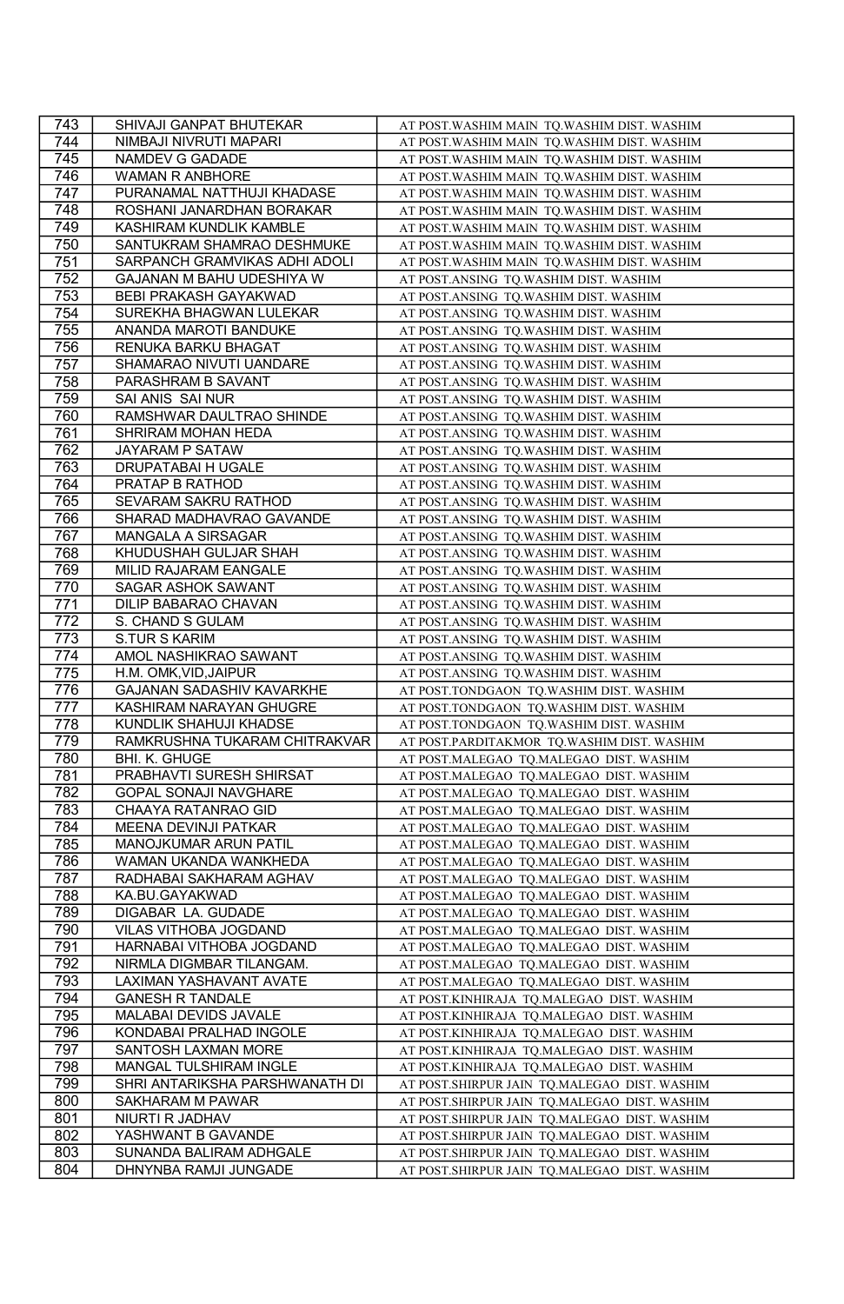| 743 | SHIVAJI GANPAT BHUTEKAR        | AT POST. WASHIM MAIN TQ. WASHIM DIST. WASHIM |
|-----|--------------------------------|----------------------------------------------|
| 744 | NIMBAJI NIVRUTI MAPARI         | AT POST. WASHIM MAIN TQ. WASHIM DIST. WASHIM |
| 745 | NAMDEV G GADADE                | AT POST. WASHIM MAIN TQ. WASHIM DIST. WASHIM |
| 746 | <b>WAMAN R ANBHORE</b>         | AT POST. WASHIM MAIN TQ. WASHIM DIST. WASHIM |
| 747 | PURANAMAL NATTHUJI KHADASE     | AT POST. WASHIM MAIN TQ. WASHIM DIST. WASHIM |
| 748 | ROSHANI JANARDHAN BORAKAR      | AT POST. WASHIM MAIN TQ. WASHIM DIST. WASHIM |
| 749 | KASHIRAM KUNDLIK KAMBLE        | AT POST. WASHIM MAIN TQ. WASHIM DIST. WASHIM |
| 750 | SANTUKRAM SHAMRAO DESHMUKE     | AT POST. WASHIM MAIN TQ. WASHIM DIST. WASHIM |
| 751 | SARPANCH GRAMVIKAS ADHI ADOLI  | AT POST. WASHIM MAIN TQ. WASHIM DIST. WASHIM |
| 752 | GAJANAN M BAHU UDESHIYA W      | AT POST.ANSING TQ.WASHIM DIST. WASHIM        |
| 753 | BEBI PRAKASH GAYAKWAD          | AT POST.ANSING TQ.WASHIM DIST. WASHIM        |
| 754 | SUREKHA BHAGWAN LULEKAR        | AT POST.ANSING TQ.WASHIM DIST. WASHIM        |
| 755 | ANANDA MAROTI BANDUKE          | AT POST.ANSING TO.WASHIM DIST. WASHIM        |
| 756 | RENUKA BARKU BHAGAT            | AT POST.ANSING TQ.WASHIM DIST. WASHIM        |
| 757 | SHAMARAO NIVUTI UANDARE        | AT POST.ANSING TQ.WASHIM DIST. WASHIM        |
| 758 | PARASHRAM B SAVANT             | AT POST.ANSING TQ.WASHIM DIST. WASHIM        |
| 759 | SAI ANIS SAI NUR               | AT POST.ANSING TQ.WASHIM DIST. WASHIM        |
| 760 | RAMSHWAR DAULTRAO SHINDE       | AT POST.ANSING TQ.WASHIM DIST. WASHIM        |
| 761 | SHRIRAM MOHAN HEDA             | AT POST.ANSING TQ.WASHIM DIST. WASHIM        |
| 762 | JAYARAM P SATAW                | AT POST.ANSING TQ.WASHIM DIST. WASHIM        |
| 763 | DRUPATABAI H UGALE             | AT POST.ANSING TQ.WASHIM DIST. WASHIM        |
| 764 | PRATAP B RATHOD                | AT POST.ANSING TQ.WASHIM DIST. WASHIM        |
| 765 | SEVARAM SAKRU RATHOD           | AT POST.ANSING TQ.WASHIM DIST. WASHIM        |
| 766 | SHARAD MADHAVRAO GAVANDE       | AT POST.ANSING TQ.WASHIM DIST. WASHIM        |
| 767 | MANGALA A SIRSAGAR             | AT POST.ANSING TQ.WASHIM DIST. WASHIM        |
| 768 | KHUDUSHAH GULJAR SHAH          | AT POST.ANSING TQ.WASHIM DIST. WASHIM        |
| 769 | MILID RAJARAM EANGALE          | AT POST.ANSING TQ.WASHIM DIST. WASHIM        |
| 770 | SAGAR ASHOK SAWANT             | AT POST.ANSING TQ.WASHIM DIST. WASHIM        |
| 771 | DILIP BABARAO CHAVAN           | AT POST.ANSING TO.WASHIM DIST. WASHIM        |
| 772 | S. CHAND S GULAM               | AT POST.ANSING TQ.WASHIM DIST. WASHIM        |
| 773 | <b>S.TUR S KARIM</b>           | AT POST.ANSING TQ.WASHIM DIST. WASHIM        |
| 774 | AMOL NASHIKRAO SAWANT          | AT POST.ANSING TQ.WASHIM DIST. WASHIM        |
| 775 | H.M. OMK, VID, JAIPUR          | AT POST.ANSING TQ.WASHIM DIST. WASHIM        |
| 776 | GAJANAN SADASHIV KAVARKHE      | AT POST.TONDGAON TQ.WASHIM DIST. WASHIM      |
| 777 | KASHIRAM NARAYAN GHUGRE        | AT POST.TONDGAON TQ.WASHIM DIST. WASHIM      |
| 778 | KUNDLIK SHAHUJI KHADSE         | AT POST.TONDGAON TQ.WASHIM DIST. WASHIM      |
| 779 | RAMKRUSHNA TUKARAM CHITRAKVAR  | AT POST.PARDITAKMOR TQ.WASHIM DIST. WASHIM   |
| 780 | BHI. K. GHUGE                  | AT POST.MALEGAO TQ.MALEGAO DIST. WASHIM      |
| 781 | PRABHAVTI SURESH SHIRSAT       | AT POST.MALEGAO TQ.MALEGAO DIST. WASHIM      |
| 782 | GOPAL SONAJI NAVGHARE          | AT POST.MALEGAO TQ.MALEGAO DIST. WASHIM      |
| 783 | CHAAYA RATANRAO GID            | AT POST.MALEGAO TQ.MALEGAO DIST. WASHIM      |
| 784 | MEENA DEVINJI PATKAR           | AT POST.MALEGAO TQ.MALEGAO DIST. WASHIM      |
| 785 | MANOJKUMAR ARUN PATIL          | AT POST.MALEGAO TQ.MALEGAO DIST. WASHIM      |
| 786 | WAMAN UKANDA WANKHEDA          | AT POST.MALEGAO TQ.MALEGAO DIST. WASHIM      |
| 787 | RADHABAI SAKHARAM AGHAV        | AT POST.MALEGAO TQ.MALEGAO DIST. WASHIM      |
| 788 | KA.BU.GAYAKWAD                 | AT POST.MALEGAO TQ.MALEGAO DIST. WASHIM      |
| 789 | DIGABAR LA. GUDADE             | AT POST.MALEGAO TQ.MALEGAO DIST. WASHIM      |
| 790 | VILAS VITHOBA JOGDAND          | AT POST.MALEGAO TQ.MALEGAO DIST. WASHIM      |
| 791 | HARNABAI VITHOBA JOGDAND       | AT POST.MALEGAO TQ.MALEGAO DIST. WASHIM      |
| 792 | NIRMLA DIGMBAR TILANGAM.       | AT POST.MALEGAO TQ.MALEGAO DIST. WASHIM      |
| 793 | LAXIMAN YASHAVANT AVATE        | AT POST.MALEGAO TQ.MALEGAO DIST. WASHIM      |
| 794 | <b>GANESH R TANDALE</b>        | AT POST.KINHIRAJA TQ.MALEGAO DIST. WASHIM    |
| 795 | MALABAI DEVIDS JAVALE          | AT POST.KINHIRAJA TQ.MALEGAO DIST. WASHIM    |
| 796 | KONDABAI PRALHAD INGOLE        | AT POST.KINHIRAJA TQ.MALEGAO DIST. WASHIM    |
| 797 | SANTOSH LAXMAN MORE            | AT POST.KINHIRAJA TQ.MALEGAO DIST. WASHIM    |
| 798 | MANGAL TULSHIRAM INGLE         | AT POST.KINHIRAJA TQ.MALEGAO DIST. WASHIM    |
| 799 | SHRI ANTARIKSHA PARSHWANATH DI | AT POST.SHIRPUR JAIN TQ.MALEGAO DIST. WASHIM |
| 800 | SAKHARAM M PAWAR               | AT POST.SHIRPUR JAIN TQ.MALEGAO DIST. WASHIM |
| 801 | NIURTI R JADHAV                | AT POST.SHIRPUR JAIN TQ.MALEGAO DIST. WASHIM |
| 802 | YASHWANT B GAVANDE             | AT POST.SHIRPUR JAIN TQ.MALEGAO DIST. WASHIM |
| 803 | SUNANDA BALIRAM ADHGALE        | AT POST.SHIRPUR JAIN TQ.MALEGAO DIST. WASHIM |
| 804 | DHNYNBA RAMJI JUNGADE          | AT POST.SHIRPUR JAIN TQ.MALEGAO DIST. WASHIM |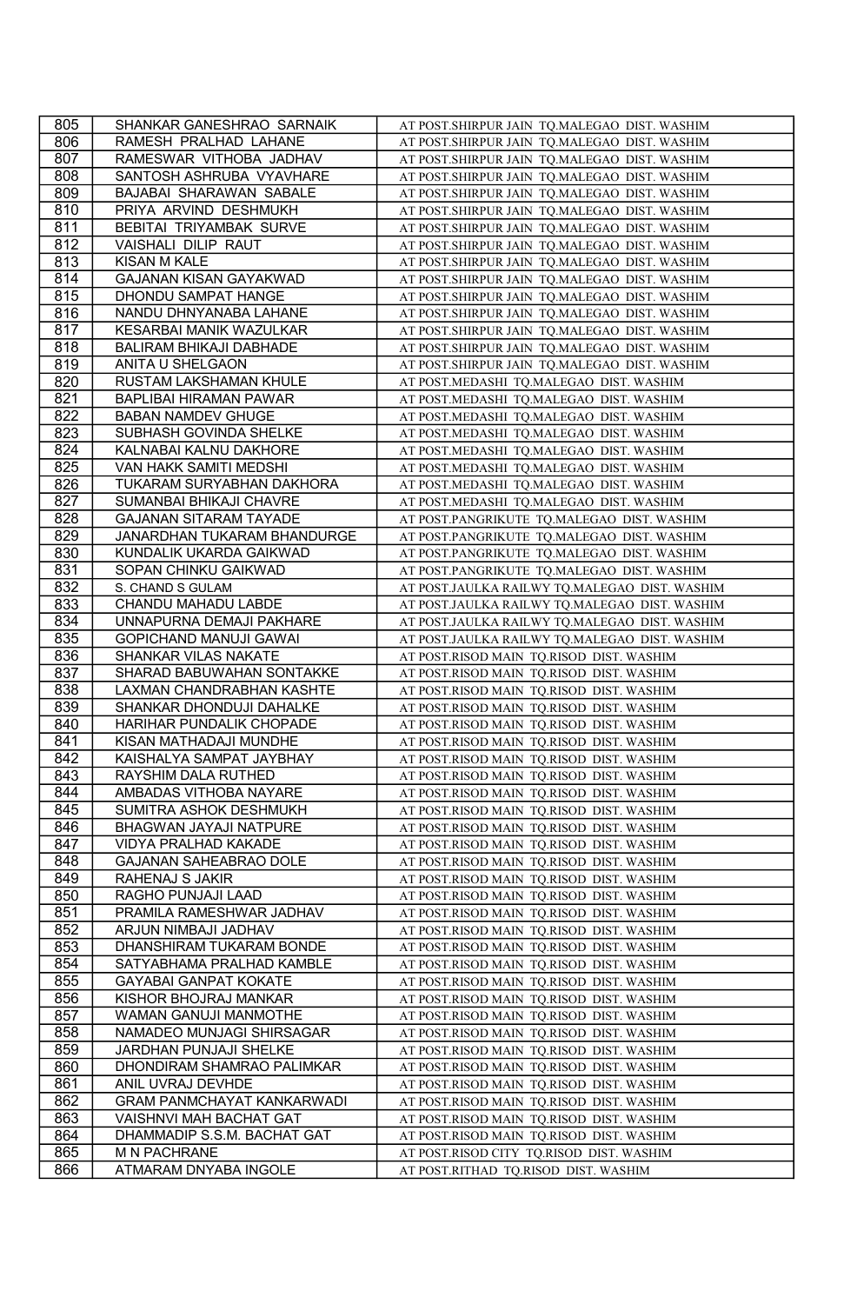| 805        | SHANKAR GANESHRAO SARNAIK             | AT POST.SHIRPUR JAIN TQ.MALEGAO DIST. WASHIM                                     |
|------------|---------------------------------------|----------------------------------------------------------------------------------|
| 806        | RAMESH PRALHAD LAHANE                 | AT POST.SHIRPUR JAIN TQ.MALEGAO DIST. WASHIM                                     |
| 807        | RAMESWAR VITHOBA JADHAV               | AT POST.SHIRPUR JAIN TQ.MALEGAO DIST. WASHIM                                     |
| 808        | SANTOSH ASHRUBA VYAVHARE              | AT POST.SHIRPUR JAIN TQ.MALEGAO DIST. WASHIM                                     |
| 809        | BAJABAI SHARAWAN SABALE               | AT POST.SHIRPUR JAIN TQ.MALEGAO DIST. WASHIM                                     |
| 810        | PRIYA ARVIND DESHMUKH                 | AT POST.SHIRPUR JAIN TQ.MALEGAO DIST. WASHIM                                     |
| 811        | BEBITAI TRIYAMBAK SURVE               | AT POST.SHIRPUR JAIN TQ.MALEGAO DIST. WASHIM                                     |
| 812        | VAISHALI DILIP RAUT                   | AT POST.SHIRPUR JAIN TQ.MALEGAO DIST. WASHIM                                     |
| 813        | KISAN M KALE                          | AT POST.SHIRPUR JAIN TQ.MALEGAO DIST. WASHIM                                     |
| 814        | GAJANAN KISAN GAYAKWAD                | AT POST.SHIRPUR JAIN TQ.MALEGAO DIST. WASHIM                                     |
| 815        | DHONDU SAMPAT HANGE                   | AT POST.SHIRPUR JAIN TQ.MALEGAO DIST. WASHIM                                     |
| 816        | NANDU DHNYANABA LAHANE                | AT POST.SHIRPUR JAIN TQ.MALEGAO DIST. WASHIM                                     |
| 817        | KESARBAI MANIK WAZULKAR               | AT POST.SHIRPUR JAIN TQ.MALEGAO DIST. WASHIM                                     |
| 818        | BALIRAM BHIKAJI DABHADE               | AT POST.SHIRPUR JAIN TQ.MALEGAO DIST. WASHIM                                     |
| 819        | ANITA U SHELGAON                      | AT POST.SHIRPUR JAIN TQ.MALEGAO DIST. WASHIM                                     |
| 820        | RUSTAM LAKSHAMAN KHULE                | AT POST.MEDASHI TQ.MALEGAO DIST. WASHIM                                          |
| 821        | BAPLIBAI HIRAMAN PAWAR                | AT POST.MEDASHI TQ.MALEGAO DIST. WASHIM                                          |
| 822        | <b>BABAN NAMDEV GHUGE</b>             | AT POST.MEDASHI TQ.MALEGAO DIST. WASHIM                                          |
| 823        | SUBHASH GOVINDA SHELKE                | AT POST.MEDASHI TQ.MALEGAO DIST. WASHIM                                          |
| 824        | KALNABAI KALNU DAKHORE                | AT POST.MEDASHI TQ.MALEGAO DIST. WASHIM                                          |
| 825        | VAN HAKK SAMITI MEDSHI                | AT POST.MEDASHI TQ.MALEGAO DIST. WASHIM                                          |
| 826        | TUKARAM SURYABHAN DAKHORA             | AT POST.MEDASHI TQ.MALEGAO DIST. WASHIM                                          |
| 827        | SUMANBAI BHIKAJI CHAVRE               | AT POST.MEDASHI TQ.MALEGAO DIST. WASHIM                                          |
| 828        | <b>GAJANAN SITARAM TAYADE</b>         | AT POST.PANGRIKUTE TQ.MALEGAO DIST. WASHIM                                       |
| 829        | JANARDHAN TUKARAM BHANDURGE           | AT POST.PANGRIKUTE TQ.MALEGAO DIST. WASHIM                                       |
| 830        | KUNDALIK UKARDA GAIKWAD               | AT POST.PANGRIKUTE TQ.MALEGAO DIST. WASHIM                                       |
| 831        | SOPAN CHINKU GAIKWAD                  | AT POST.PANGRIKUTE TQ.MALEGAO DIST. WASHIM                                       |
| 832        | S. CHAND S GULAM                      | AT POST.JAULKA RAILWY TQ.MALEGAO DIST. WASHIM                                    |
| 833        | CHANDU MAHADU LABDE                   | AT POST.JAULKA RAILWY TQ.MALEGAO DIST. WASHIM                                    |
| 834        | UNNAPURNA DEMAJI PAKHARE              | AT POST.JAULKA RAILWY TQ.MALEGAO DIST. WASHIM                                    |
| 835        | GOPICHAND MANUJI GAWAI                | AT POST.JAULKA RAILWY TQ.MALEGAO DIST. WASHIM                                    |
| 836        | SHANKAR VILAS NAKATE                  | AT POST.RISOD MAIN TQ.RISOD DIST. WASHIM                                         |
| 837        | SHARAD BABUWAHAN SONTAKKE             | AT POST.RISOD MAIN TQ.RISOD DIST. WASHIM                                         |
| 838        | LAXMAN CHANDRABHAN KASHTE             | AT POST.RISOD MAIN TQ.RISOD DIST. WASHIM                                         |
| 839        | SHANKAR DHONDUJI DAHALKE              | AT POST.RISOD MAIN TQ.RISOD DIST. WASHIM                                         |
| 840        | HARIHAR PUNDALIK CHOPADE              | AT POST.RISOD MAIN TQ.RISOD DIST. WASHIM                                         |
| 841        | KISAN MATHADAJI MUNDHE                | AT POST.RISOD MAIN TQ.RISOD DIST. WASHIM                                         |
| 842        | KAISHALYA SAMPAT JAYBHAY              | AT POST.RISOD MAIN TQ.RISOD DIST. WASHIM                                         |
| 843        | RAYSHIM DALA RUTHED                   | AT POST.RISOD MAIN TQ.RISOD DIST. WASHIM                                         |
| 844        | AMBADAS VITHOBA NAYARE                | AT POST.RISOD MAIN TQ.RISOD DIST. WASHIM                                         |
| 845        | SUMITRA ASHOK DESHMUKH                | AT POST.RISOD MAIN TQ.RISOD DIST. WASHIM                                         |
| 846        | BHAGWAN JAYAJI NATPURE                | AT POST.RISOD MAIN TQ.RISOD DIST. WASHIM                                         |
| 847        | <b>VIDYA PRALHAD KAKADE</b>           | AT POST.RISOD MAIN TQ.RISOD DIST. WASHIM                                         |
| 848        | GAJANAN SAHEABRAO DOLE                | AT POST.RISOD MAIN TQ.RISOD DIST. WASHIM                                         |
| 849        | RAHENAJ S JAKIR                       | AT POST.RISOD MAIN TQ.RISOD DIST. WASHIM                                         |
| 850        | RAGHO PUNJAJI LAAD                    | AT POST.RISOD MAIN TQ.RISOD DIST. WASHIM                                         |
| 851        | PRAMILA RAMESHWAR JADHAV              | AT POST.RISOD MAIN TQ.RISOD DIST. WASHIM                                         |
| 852        | ARJUN NIMBAJI JADHAV                  | AT POST.RISOD MAIN TO.RISOD DIST. WASHIM                                         |
| 853        | DHANSHIRAM TUKARAM BONDE              | AT POST.RISOD MAIN TQ.RISOD DIST. WASHIM                                         |
| 854        | SATYABHAMA PRALHAD KAMBLE             | AT POST.RISOD MAIN TQ.RISOD DIST. WASHIM                                         |
| 855        | GAYABAI GANPAT KOKATE                 | AT POST.RISOD MAIN TQ.RISOD DIST. WASHIM                                         |
| 856        | KISHOR BHOJRAJ MANKAR                 | AT POST.RISOD MAIN TQ.RISOD DIST. WASHIM                                         |
| 857        |                                       |                                                                                  |
|            | WAMAN GANUJI MANMOTHE                 | AT POST.RISOD MAIN TQ.RISOD DIST. WASHIM                                         |
| 858        | NAMADEO MUNJAGI SHIRSAGAR             | AT POST.RISOD MAIN TO.RISOD DIST. WASHIM                                         |
| 859        | JARDHAN PUNJAJI SHELKE                | AT POST.RISOD MAIN TQ.RISOD DIST. WASHIM                                         |
| 860        | DHONDIRAM SHAMRAO PALIMKAR            | AT POST.RISOD MAIN TQ.RISOD DIST. WASHIM                                         |
| 861        | ANIL UVRAJ DEVHDE                     | AT POST.RISOD MAIN TQ.RISOD DIST. WASHIM                                         |
| 862        | <b>GRAM PANMCHAYAT KANKARWADI</b>     | AT POST.RISOD MAIN TQ.RISOD DIST. WASHIM                                         |
| 863        | VAISHNVI MAH BACHAT GAT               | AT POST.RISOD MAIN TQ.RISOD DIST. WASHIM                                         |
| 864        | DHAMMADIP S.S.M. BACHAT GAT           | AT POST.RISOD MAIN TQ.RISOD DIST. WASHIM                                         |
| 865<br>866 | M N PACHRANE<br>ATMARAM DNYABA INGOLE | AT POST.RISOD CITY TQ.RISOD DIST. WASHIM<br>AT POST.RITHAD TQ.RISOD DIST. WASHIM |